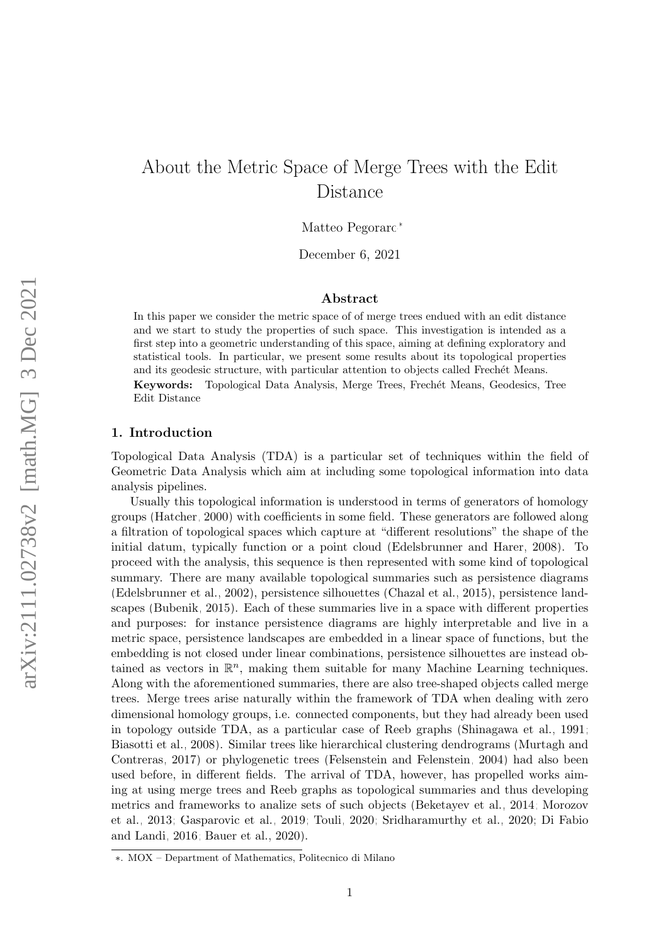# About the Metric Space of Merge Trees with the Edit Distance

Matteo Pegoraro<sup>∗</sup>

December 6, 2021

# Abstract

In this paper we consider the metric space of of merge trees endued with an edit distance and we start to study the properties of such space. This investigation is intended as a first step into a geometric understanding of this space, aiming at defining exploratory and statistical tools. In particular, we present some results about its topological properties and its geodesic structure, with particular attention to objects called Frechet Means. Keywords: Topological Data Analysis, Merge Trees, Frechét Means, Geodesics, Tree Edit Distance

#### 1. Introduction

Topological Data Analysis (TDA) is a particular set of techniques within the field of Geometric Data Analysis which aim at including some topological information into data analysis pipelines.

Usually this topological information is understood in terms of generators of homology groups [\(Hatcher, 2000\)](#page-23-0) with coefficients in some field. These generators are followed along a filtration of topological spaces which capture at "different resolutions" the shape of the initial datum, typically function or a point cloud [\(Edelsbrunner and Harer, 2008\)](#page-22-0). To proceed with the analysis, this sequence is then represented with some kind of topological summary. There are many available topological summaries such as persistence diagrams [\(Edelsbrunner et al., 2002\)](#page-22-1), persistence silhouettes [\(Chazal et al., 2015\)](#page-22-2), persistence landscapes [\(Bubenik, 2015\)](#page-22-3). Each of these summaries live in a space with different properties and purposes: for instance persistence diagrams are highly interpretable and live in a metric space, persistence landscapes are embedded in a linear space of functions, but the embedding is not closed under linear combinations, persistence silhouettes are instead obtained as vectors in  $\mathbb{R}^n$ , making them suitable for many Machine Learning techniques. Along with the aforementioned summaries, there are also tree-shaped objects called merge trees. Merge trees arise naturally within the framework of TDA when dealing with zero dimensional homology groups, i.e. connected components, but they had already been used in topology outside TDA, as a particular case of Reeb graphs [\(Shinagawa et al., 1991;](#page-24-0) [Biasotti et al., 2008\)](#page-22-4). Similar trees like hierarchical clustering dendrograms [\(Murtagh and](#page-23-1) [Contreras, 2017\)](#page-23-1) or phylogenetic trees [\(Felsenstein and Felenstein, 2004\)](#page-22-5) had also been used before, in different fields. The arrival of TDA, however, has propelled works aiming at using merge trees and Reeb graphs as topological summaries and thus developing metrics and frameworks to analize sets of such objects [\(Beketayev et al., 2014;](#page-22-6) [Morozov](#page-23-2) [et al., 2013;](#page-23-2) [Gasparovic et al., 2019;](#page-23-3) [Touli, 2020;](#page-24-1) [Sridharamurthy et al., 2020;](#page-24-2) [Di Fabio](#page-22-7) [and Landi, 2016;](#page-22-7) [Bauer et al., 2020\)](#page-21-0).

<sup>∗</sup>. MOX – Department of Mathematics, Politecnico di Milano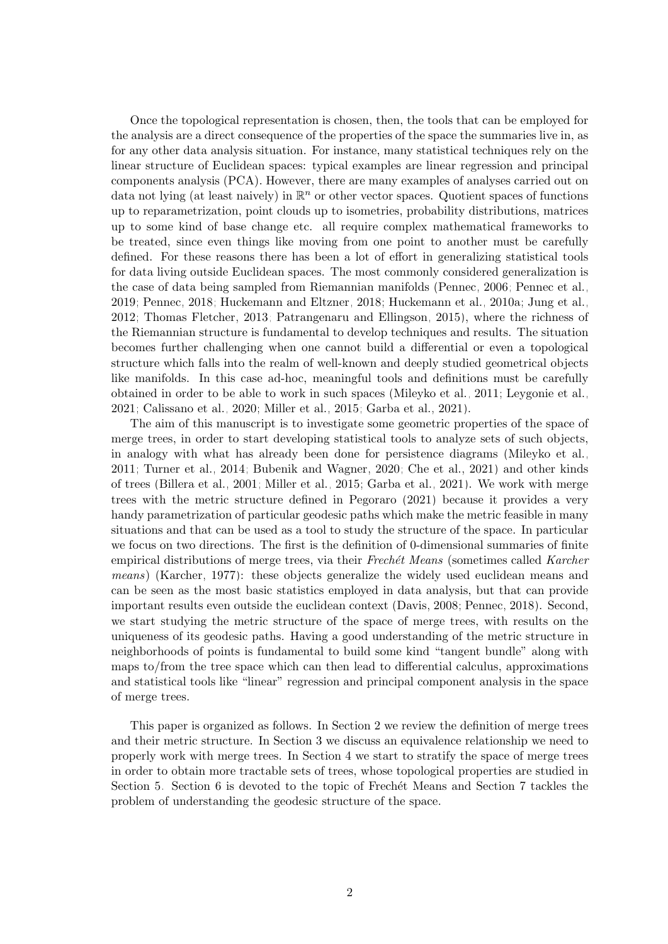Once the topological representation is chosen, then, the tools that can be employed for the analysis are a direct consequence of the properties of the space the summaries live in, as for any other data analysis situation. For instance, many statistical techniques rely on the linear structure of Euclidean spaces: typical examples are linear regression and principal components analysis (PCA). However, there are many examples of analyses carried out on data not lying (at least naively) in  $\mathbb{R}^n$  or other vector spaces. Quotient spaces of functions up to reparametrization, point clouds up to isometries, probability distributions, matrices up to some kind of base change etc. all require complex mathematical frameworks to be treated, since even things like moving from one point to another must be carefully defined. For these reasons there has been a lot of effort in generalizing statistical tools for data living outside Euclidean spaces. The most commonly considered generalization is the case of data being sampled from Riemannian manifolds [\(Pennec, 2006;](#page-23-4) [Pennec et al.,](#page-23-5) [2019;](#page-23-5) [Pennec, 2018;](#page-23-6) [Huckemann and Eltzner, 2018;](#page-23-7) [Huckemann et al., 2010a;](#page-23-8) [Jung et al.,](#page-23-9) [2012;](#page-23-9) [Thomas Fletcher, 2013;](#page-24-3) [Patrangenaru and Ellingson, 2015\)](#page-23-10), where the richness of the Riemannian structure is fundamental to develop techniques and results. The situation becomes further challenging when one cannot build a differential or even a topological structure which falls into the realm of well-known and deeply studied geometrical objects like manifolds. In this case ad-hoc, meaningful tools and definitions must be carefully obtained in order to be able to work in such spaces [\(Mileyko et al., 2011;](#page-23-11) [Leygonie et al.,](#page-23-12) [2021;](#page-23-12) [Calissano et al., 2020;](#page-22-8) [Miller et al., 2015;](#page-23-13) [Garba et al., 2021\)](#page-22-9).

The aim of this manuscript is to investigate some geometric properties of the space of merge trees, in order to start developing statistical tools to analyze sets of such objects, in analogy with what has already been done for persistence diagrams [\(Mileyko et al.,](#page-23-11) [2011;](#page-23-11) [Turner et al., 2014;](#page-24-4) [Bubenik and Wagner, 2020;](#page-22-10) [Che et al., 2021\)](#page-22-11) and other kinds of trees [\(Billera et al., 2001;](#page-22-12) [Miller et al., 2015;](#page-23-13) [Garba et al., 2021\)](#page-22-9). We work with merge trees with the metric structure defined in [Pegoraro \(2021\)](#page-23-14) because it provides a very handy parametrization of particular geodesic paths which make the metric feasible in many situations and that can be used as a tool to study the structure of the space. In particular we focus on two directions. The first is the definition of 0-dimensional summaries of finite empirical distributions of merge trees, via their Frechét Means (sometimes called Karcher means) [\(Karcher, 1977\)](#page-23-15): these objects generalize the widely used euclidean means and can be seen as the most basic statistics employed in data analysis, but that can provide important results even outside the euclidean context [\(Davis, 2008;](#page-22-13) [Pennec, 2018\)](#page-23-6). Second, we start studying the metric structure of the space of merge trees, with results on the uniqueness of its geodesic paths. Having a good understanding of the metric structure in neighborhoods of points is fundamental to build some kind "tangent bundle" along with maps to/from the tree space which can then lead to differential calculus, approximations and statistical tools like "linear" regression and principal component analysis in the space of merge trees.

This paper is organized as follows. In Section [2](#page-2-0) we review the definition of merge trees and their metric structure. In Section [3](#page-5-0) we discuss an equivalence relationship we need to properly work with merge trees. In Section [4](#page-6-0) we start to stratify the space of merge trees in order to obtain more tractable sets of trees, whose topological properties are studied in Section [5.](#page-6-1) Section [6](#page-12-0) is devoted to the topic of Frechet Means and Section [7](#page-13-0) tackles the problem of understanding the geodesic structure of the space.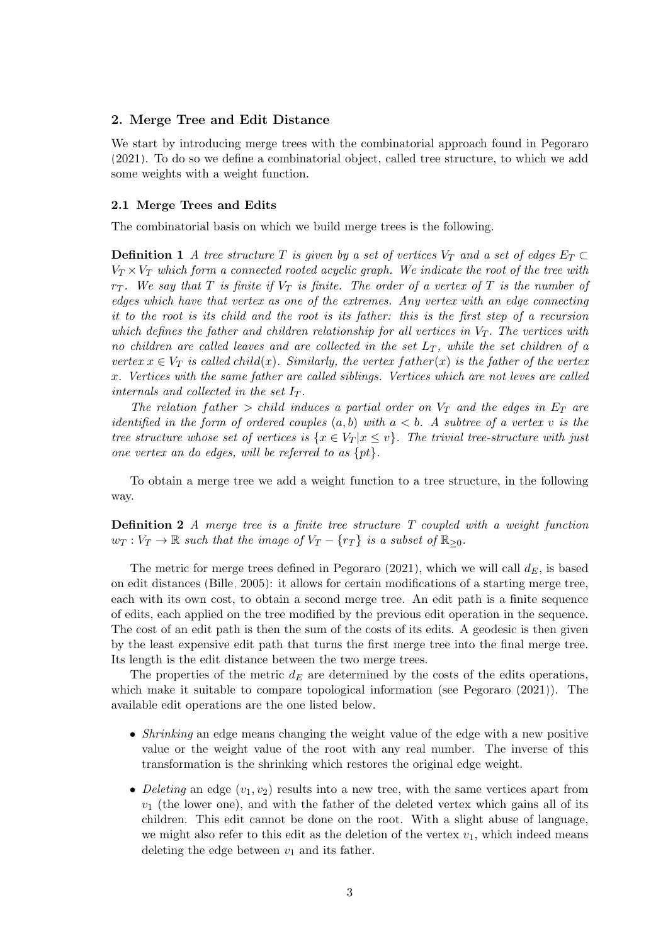#### <span id="page-2-0"></span>2. Merge Tree and Edit Distance

We start by introducing merge trees with the combinatorial approach found in [Pegoraro](#page-23-14) [\(2021\)](#page-23-14). To do so we define a combinatorial object, called tree structure, to which we add some weights with a weight function.

#### 2.1 Merge Trees and Edits

The combinatorial basis on which we build merge trees is the following.

**Definition 1** A tree structure T is given by a set of vertices  $V_T$  and a set of edges  $E_T \subset$  $V_T \times V_T$  which form a connected rooted acyclic graph. We indicate the root of the tree with  $r_T$ . We say that T is finite if  $V_T$  is finite. The order of a vertex of T is the number of edges which have that vertex as one of the extremes. Any vertex with an edge connecting it to the root is its child and the root is its father: this is the first step of a recursion which defines the father and children relationship for all vertices in  $V<sub>T</sub>$ . The vertices with no children are called leaves and are collected in the set  $L_T$ , while the set children of a vertex  $x \in V_T$  is called child(x). Similarly, the vertex father(x) is the father of the vertex x. Vertices with the same father are called siblings. Vertices which are not leves are called internals and collected in the set  $I_T$ .

The relation father  $>$  child induces a partial order on  $V_T$  and the edges in  $E_T$  are identified in the form of ordered couples  $(a, b)$  with  $a < b$ . A subtree of a vertex v is the tree structure whose set of vertices is  $\{x \in V_T | x \leq v\}$ . The trivial tree-structure with just one vertex an do edges, will be referred to as  $\{pt\}.$ 

To obtain a merge tree we add a weight function to a tree structure, in the following way.

Definition 2 A merge tree is a finite tree structure T coupled with a weight function  $w_T : V_T \to \mathbb{R}$  such that the image of  $V_T - \{r_T\}$  is a subset of  $\mathbb{R}_{\geq 0}$ .

The metric for merge trees defined in [Pegoraro \(2021\)](#page-23-14), which we will call  $d_E$ , is based on edit distances [\(Bille, 2005\)](#page-22-14): it allows for certain modifications of a starting merge tree, each with its own cost, to obtain a second merge tree. An edit path is a finite sequence of edits, each applied on the tree modified by the previous edit operation in the sequence. The cost of an edit path is then the sum of the costs of its edits. A geodesic is then given by the least expensive edit path that turns the first merge tree into the final merge tree. Its length is the edit distance between the two merge trees.

The properties of the metric  $d_E$  are determined by the costs of the edits operations, which make it suitable to compare topological information (see [Pegoraro \(2021\)](#page-23-14)). The available edit operations are the one listed below.

- *Shrinking* an edge means changing the weight value of the edge with a new positive value or the weight value of the root with any real number. The inverse of this transformation is the shrinking which restores the original edge weight.
- Deleting an edge  $(v_1, v_2)$  results into a new tree, with the same vertices apart from  $v_1$  (the lower one), and with the father of the deleted vertex which gains all of its children. This edit cannot be done on the root. With a slight abuse of language, we might also refer to this edit as the deletion of the vertex  $v_1$ , which indeed means deleting the edge between  $v_1$  and its father.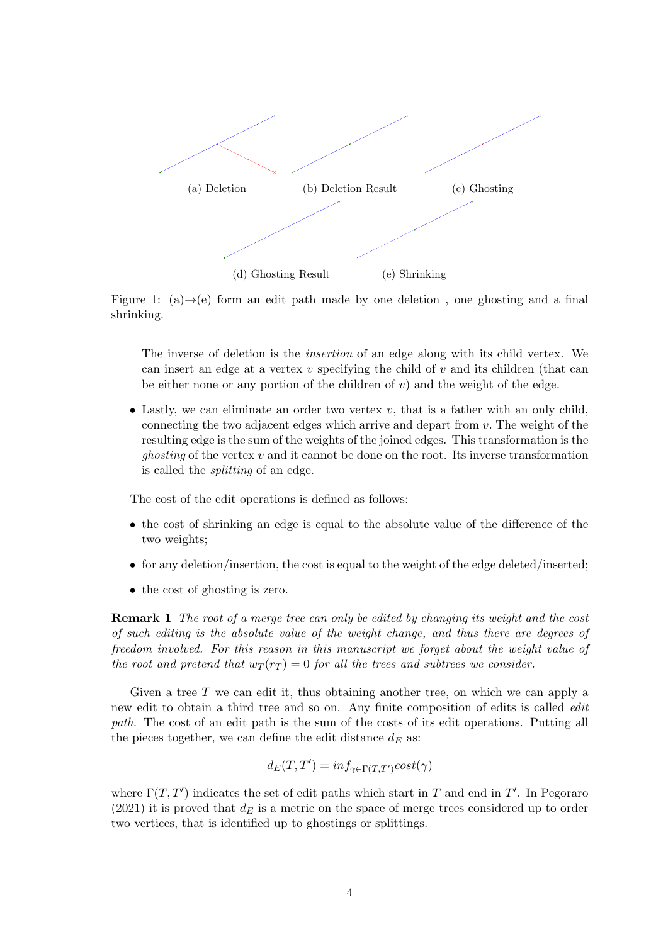<span id="page-3-0"></span>

Figure 1: (a) $\rightarrow$ (e) form an edit path made by one deletion, one ghosting and a final shrinking.

The inverse of deletion is the insertion of an edge along with its child vertex. We can insert an edge at a vertex  $v$  specifying the child of  $v$  and its children (that can be either none or any portion of the children of  $v$ ) and the weight of the edge.

• Lastly, we can eliminate an order two vertex  $v$ , that is a father with an only child, connecting the two adjacent edges which arrive and depart from v. The weight of the resulting edge is the sum of the weights of the joined edges. This transformation is the *ghosting* of the vertex  $v$  and it cannot be done on the root. Its inverse transformation is called the splitting of an edge.

The cost of the edit operations is defined as follows:

- the cost of shrinking an edge is equal to the absolute value of the difference of the two weights;
- for any deletion/insertion, the cost is equal to the weight of the edge deleted/inserted;
- the cost of ghosting is zero.

<span id="page-3-1"></span>Remark 1 The root of a merge tree can only be edited by changing its weight and the cost of such editing is the absolute value of the weight change, and thus there are degrees of freedom involved. For this reason in this manuscript we forget about the weight value of the root and pretend that  $w_T(r_T) = 0$  for all the trees and subtrees we consider.

Given a tree T we can edit it, thus obtaining another tree, on which we can apply a new edit to obtain a third tree and so on. Any finite composition of edits is called edit path. The cost of an edit path is the sum of the costs of its edit operations. Putting all the pieces together, we can define the edit distance  $d_E$  as:

$$
d_E(T, T') = inf_{\gamma \in \Gamma(T, T')} cost(\gamma)
$$

where  $\Gamma(T, T')$  indicates the set of edit paths which start in T and end in T'. In [Pegoraro](#page-23-14) [\(2021\)](#page-23-14) it is proved that  $d_E$  is a metric on the space of merge trees considered up to order two vertices, that is identified up to ghostings or splittings.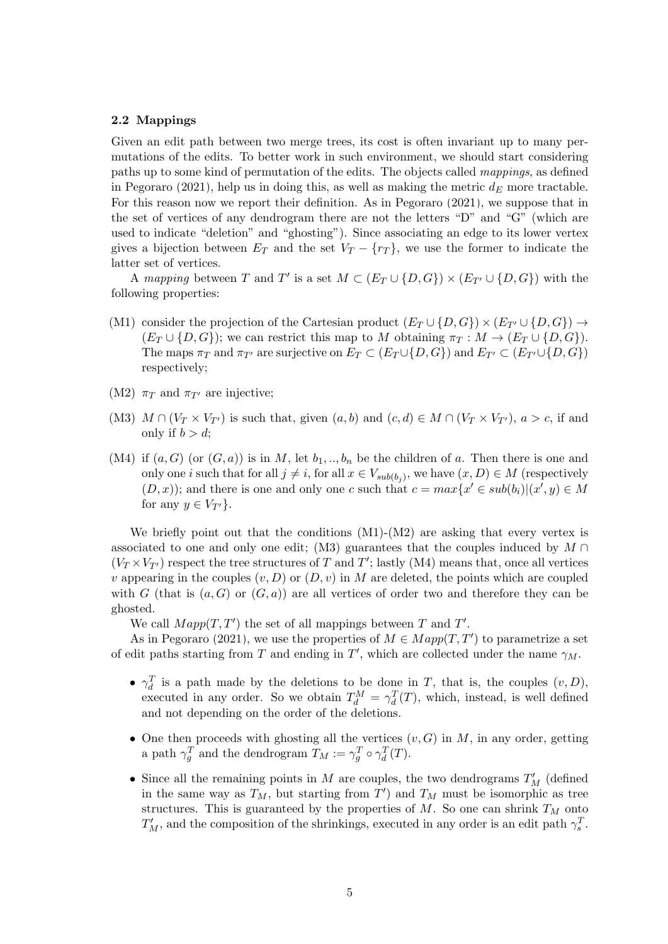## 2.2 Mappings

Given an edit path between two merge trees, its cost is often invariant up to many permutations of the edits. To better work in such environment, we should start considering paths up to some kind of permutation of the edits. The objects called mappings, as defined in [Pegoraro \(2021\)](#page-23-14), help us in doing this, as well as making the metric  $d_E$  more tractable. For this reason now we report their definition. As in [Pegoraro \(2021\)](#page-23-14), we suppose that in the set of vertices of any dendrogram there are not the letters "D" and "G" (which are used to indicate "deletion" and "ghosting"). Since associating an edge to its lower vertex gives a bijection between  $E_T$  and the set  $V_T - \{r_T\}$ , we use the former to indicate the latter set of vertices.

A mapping between T and T' is a set  $M \subset (E_T \cup \{D, G\}) \times (E_{T'} \cup \{D, G\})$  with the following properties:

- (M1) consider the projection of the Cartesian product  $(E_T \cup \{D, G\}) \times (E_{T'} \cup \{D, G\}) \rightarrow$  $(E_T \cup \{D, G\})$ ; we can restrict this map to M obtaining  $\pi_T : M \to (E_T \cup \{D, G\})$ . The maps  $\pi_T$  and  $\pi_{T'}$  are surjective on  $E_T \subset (E_T \cup \{D, G\})$  and  $E_{T'} \subset (E_{T'} \cup \{D, G\})$ respectively;
- (M2)  $\pi_T$  and  $\pi_{T'}$  are injective;
- (M3)  $M \cap (V_T \times V_{T'})$  is such that, given  $(a, b)$  and  $(c, d) \in M \cap (V_T \times V_{T'})$ ,  $a > c$ , if and only if  $b > d$ ;
- (M4) if  $(a, G)$  (or  $(G, a)$ ) is in M, let  $b_1, \ldots, b_n$  be the children of a. Then there is one and only one *i* such that for all  $j \neq i$ , for all  $x \in V_{sub(b_j)}$ , we have  $(x, D) \in M$  (respectively  $(D, x)$ ; and there is one and only one c such that  $c = max\{x' \in sub(b_i)|(x', y) \in M\}$ for any  $y \in V_{T'}$ .

We briefly point out that the conditions  $(M1)-(M2)$  are asking that every vertex is associated to one and only one edit; (M3) guarantees that the couples induced by  $M \cap$  $(V_T \times V_{T})$  respect the tree structures of T and T'; lastly (M4) means that, once all vertices v appearing in the couples  $(v, D)$  or  $(D, v)$  in M are deleted, the points which are coupled with G (that is  $(a, G)$  or  $(G, a)$ ) are all vertices of order two and therefore they can be ghosted.

We call  $Map(T, T')$  the set of all mappings between T and T'.

As in [Pegoraro \(2021\)](#page-23-14), we use the properties of  $M \in Map(T, T')$  to parametrize a set of edit paths starting from T and ending in T', which are collected under the name  $\gamma_M$ .

- $\gamma_d^T$  is a path made by the deletions to be done in T, that is, the couples  $(v, D)$ , executed in any order. So we obtain  $T_d^M = \gamma_d^T(T)$ , which, instead, is well defined and not depending on the order of the deletions.
- One then proceeds with ghosting all the vertices  $(v, G)$  in M, in any order, getting a path  $\gamma_g^T$  and the dendrogram  $T_M := \gamma_g^T \circ \gamma_d^T(T)$ .
- Since all the remaining points in  $M$  are couples, the two dendrograms  $T'_{M}$  (defined in the same way as  $T_M$ , but starting from  $T'$ ) and  $T_M$  must be isomorphic as tree structures. This is guaranteed by the properties of  $M$ . So one can shrink  $T_M$  onto  $T_M'$ , and the composition of the shrinkings, executed in any order is an edit path  $\gamma_s^T$ .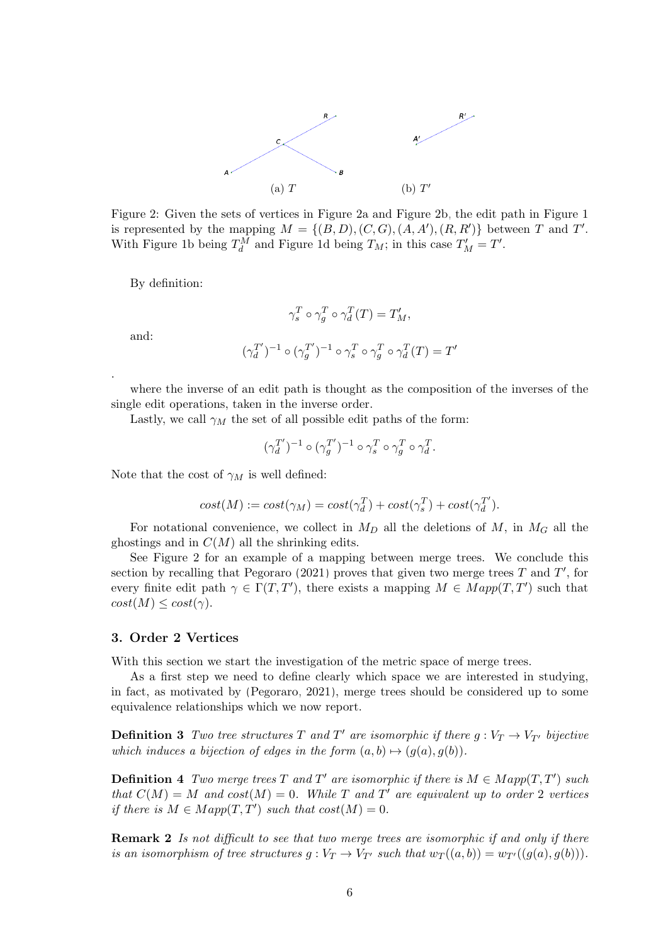<span id="page-5-1"></span>

Figure 2: Given the sets of vertices in Figure [2a](#page-5-1) and Figure [2b,](#page-5-1) the edit path in Figure [1](#page-3-0) is represented by the mapping  $M = \{(B, D), (C, G), (A, A'), (R, R')\}$  between T and T'. With Figure [1b](#page-3-0) being  $T_d^M$  and Figure [1d](#page-3-0) being  $T_M$ ; in this case  $T'_M = T'$ .

By definition:

$$
\gamma_s^T \circ \gamma_g^T \circ \gamma_d^T(T) = T'_M,
$$
  

$$
(\gamma_d^{T'})^{-1} \circ (\gamma_g^{T'})^{-1} \circ \gamma_s^T \circ \gamma_g^T \circ \gamma_d^T(T) = T'
$$

and:

.

where the inverse of an edit path is thought as the composition of the inverses of the single edit operations, taken in the inverse order.

Lastly, we call  $\gamma_M$  the set of all possible edit paths of the form:

$$
(\gamma_d^{T'})^{-1}\circ (\gamma_g^{T'})^{-1}\circ \gamma_s^T\circ \gamma_g^T\circ \gamma_d^T.
$$

Note that the cost of  $\gamma_M$  is well defined:

$$
cost(M) := cost(\gamma_M) = cost(\gamma_d^T) + cost(\gamma_s^T) + cost(\gamma_d^{T'}).
$$

For notational convenience, we collect in  $M_D$  all the deletions of M, in  $M_G$  all the ghostings and in  $C(M)$  all the shrinking edits.

See Figure [2](#page-5-1) for an example of a mapping between merge trees. We conclude this section by recalling that [Pegoraro \(2021\)](#page-23-14) proves that given two merge trees  $T$  and  $T'$ , for every finite edit path  $\gamma \in \Gamma(T, T')$ , there exists a mapping  $M \in Map(T, T')$  such that  $cost(M) \leq cost(\gamma).$ 

#### <span id="page-5-0"></span>3. Order 2 Vertices

With this section we start the investigation of the metric space of merge trees.

As a first step we need to define clearly which space we are interested in studying, in fact, as motivated by [\(Pegoraro, 2021\)](#page-23-14), merge trees should be considered up to some equivalence relationships which we now report.

**Definition 3** Two tree structures T and T' are isomorphic if there  $g: V_T \to V_{T}$  bijective which induces a bijection of edges in the form  $(a, b) \mapsto (g(a), g(b))$ .

**Definition 4** Two merge trees T and T' are isomorphic if there is  $M \in Map(T, T')$  such that  $C(M) = M$  and  $cost(M) = 0$ . While T and T' are equivalent up to order 2 vertices if there is  $M \in Map(T, T')$  such that  $cost(M) = 0$ .

**Remark 2** Is not difficult to see that two merge trees are isomorphic if and only if there is an isomorphism of tree structures  $g : V_T \to V_{T'}$  such that  $w_T((a, b)) = w_{T'}((g(a), g(b))).$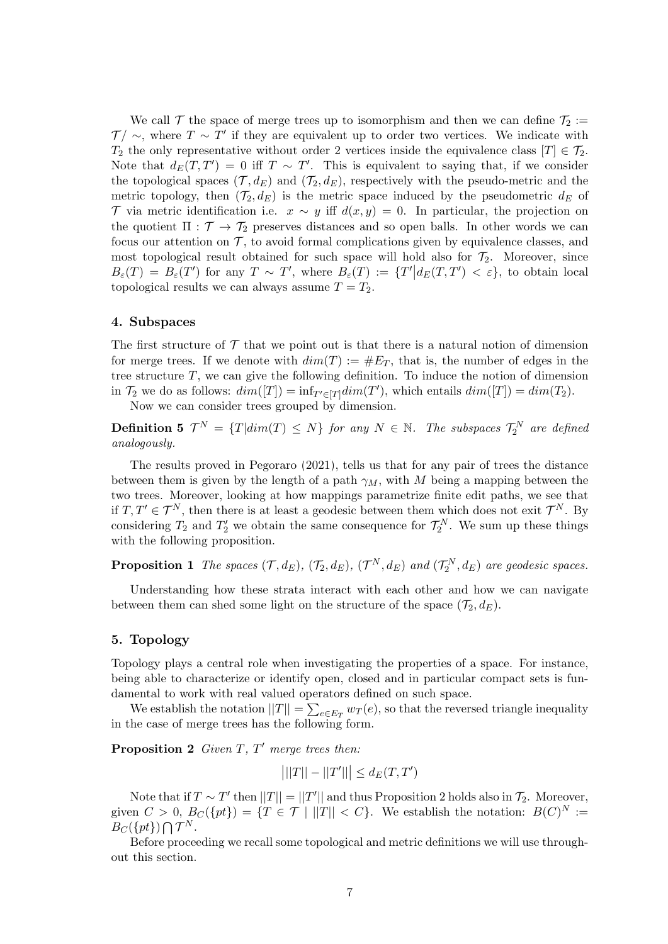We call  $\mathcal T$  the space of merge trees up to isomorphism and then we can define  $\mathcal T_2 :=$  $\mathcal{T}/\sim$ , where  $T\sim T'$  if they are equivalent up to order two vertices. We indicate with  $T_2$  the only representative without order 2 vertices inside the equivalence class  $[T] \in \mathcal{T}_2$ . Note that  $d_E(T, T') = 0$  iff  $T \sim T'$ . This is equivalent to saying that, if we consider the topological spaces  $(\mathcal{T}, d_E)$  and  $(\mathcal{T}_2, d_E)$ , respectively with the pseudo-metric and the metric topology, then  $(\mathcal{T}_2, d_E)$  is the metric space induced by the pseudometric  $d_E$  of T via metric identification i.e.  $x \sim y$  iff  $d(x, y) = 0$ . In particular, the projection on the quotient  $\Pi : \mathcal{T} \to \mathcal{T}_2$  preserves distances and so open balls. In other words we can focus our attention on  $\mathcal{T}$ , to avoid formal complications given by equivalence classes, and most topological result obtained for such space will hold also for  $\mathcal{T}_2$ . Moreover, since  $B_{\varepsilon}(T) = B_{\varepsilon}(T')$  for any  $T \sim T'$ , where  $B_{\varepsilon}(T) := \{T' | d_E(T, T') < \varepsilon\}$ , to obtain local topological results we can always assume  $T = T_2$ .

#### <span id="page-6-0"></span>4. Subspaces

The first structure of  $\mathcal T$  that we point out is that there is a natural notion of dimension for merge trees. If we denote with  $dim(T) := \#E_T$ , that is, the number of edges in the tree structure  $T$ , we can give the following definition. To induce the notion of dimension in  $\mathcal{T}_2$  we do as follows:  $dim([T]) = inf_{T' \in [T]}dim(T')$ , which entails  $dim([T]) = dim(T_2)$ .

Now we can consider trees grouped by dimension.

**Definition 5**  $\mathcal{T}^N = \{T | dim(T) \leq N\}$  for any  $N \in \mathbb{N}$ . The subspaces  $\mathcal{T}_2^N$  are defined analogously.

The results proved in [Pegoraro \(2021\)](#page-23-14), tells us that for any pair of trees the distance between them is given by the length of a path  $\gamma_M$ , with M being a mapping between the two trees. Moreover, looking at how mappings parametrize finite edit paths, we see that if  $T, T' \in \mathcal{T}^N$ , then there is at least a geodesic between them which does not exit  $\mathcal{T}^N$ . By considering  $T_2$  and  $T_2'$  we obtain the same consequence for  $\mathcal{T}_2^N$ . We sum up these things with the following proposition.

**Proposition 1** The spaces  $(\mathcal{T}, d_E)$ ,  $(\mathcal{T}_2, d_E)$ ,  $(\mathcal{T}^N, d_E)$  and  $(\mathcal{T}^N_2, d_E)$  are geodesic spaces.

Understanding how these strata interact with each other and how we can navigate between them can shed some light on the structure of the space  $(\mathcal{T}_2, d_E)$ .

# <span id="page-6-1"></span>5. Topology

Topology plays a central role when investigating the properties of a space. For instance, being able to characterize or identify open, closed and in particular compact sets is fundamental to work with real valued operators defined on such space.

We establish the notation  $||T|| = \sum_{e \in E_T} w_T(e)$ , so that the reversed triangle inequality in the case of merge trees has the following form.

<span id="page-6-2"></span>**Proposition 2** Given  $T$ ,  $T'$  merge trees then:

$$
|||T|| - ||T'||| \leq d_E(T, T')
$$

Note that if  $T \sim T'$  then  $||T|| = ||T'||$  and thus Proposition [2](#page-6-2) holds also in  $\mathcal{T}_2$ . Moreover, given  $C > 0$ ,  $B_C({pt}) = {T \in \mathcal{T} | ||T|| < C}$ . We establish the notation:  $B(C)^N :=$  $B_C({pt})\bigcap \mathcal{T}^N$ .

Before proceeding we recall some topological and metric definitions we will use throughout this section.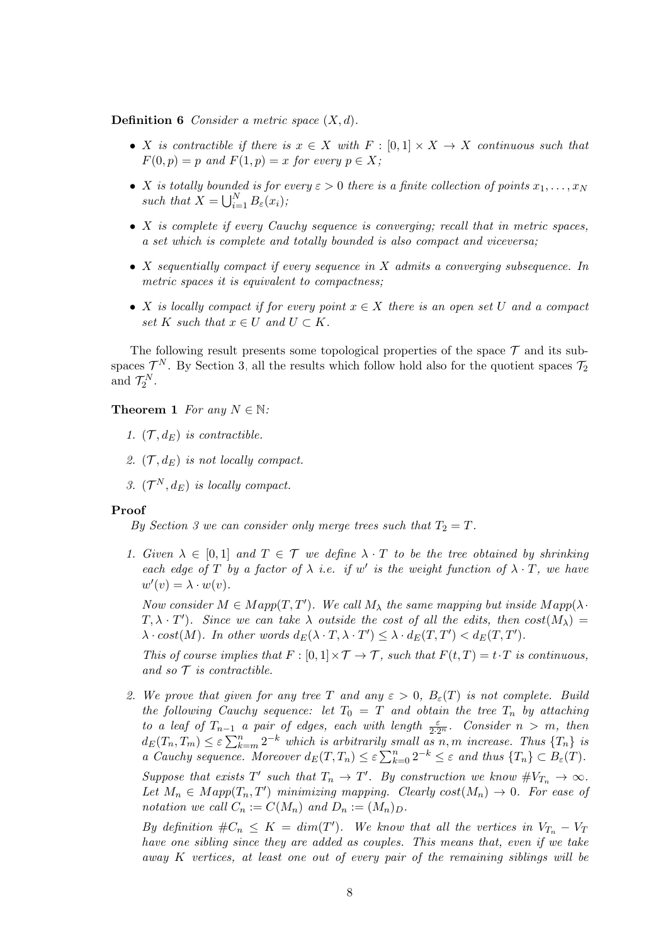**Definition 6** Consider a metric space  $(X, d)$ .

- X is contractible if there is  $x \in X$  with  $F : [0,1] \times X \to X$  continuous such that  $F(0, p) = p$  and  $F(1, p) = x$  for every  $p \in X$ ;
- X is totally bounded is for every  $\varepsilon > 0$  there is a finite collection of points  $x_1, \ldots, x_N$ such that  $X = \bigcup_{i=1}^{N} B_{\varepsilon}(x_i);$
- $X$  is complete if every Cauchy sequence is converging; recall that in metric spaces, a set which is complete and totally bounded is also compact and viceversa;
- X sequentially compact if every sequence in X admits a converging subsequence. In metric spaces it is equivalent to compactness;
- X is locally compact if for every point  $x \in X$  there is an open set U and a compact set K such that  $x \in U$  and  $U \subset K$ .

The following result presents some topological properties of the space  $\mathcal T$  and its subspaces  $\mathcal{T}^N$ . By Section [3,](#page-5-0) all the results which follow hold also for the quotient spaces  $\mathcal{T}_2$ and  $\mathcal{T}_2^N$ .

<span id="page-7-0"></span>**Theorem 1** For any  $N \in \mathbb{N}$ :

- 1.  $(\mathcal{T}, d_E)$  is contractible.
- 2.  $(\mathcal{T}, d_E)$  is not locally compact.
- 3.  $(\mathcal{T}^N, d_E)$  is locally compact.

#### Proof

By Section [3](#page-5-0) we can consider only merge trees such that  $T_2 = T$ .

1. Given  $\lambda \in [0,1]$  and  $T \in \mathcal{T}$  we define  $\lambda \cdot T$  to be the tree obtained by shrinking each edge of T by a factor of  $\lambda$  i.e. if w' is the weight function of  $\lambda \cdot T$ , we have  $w'(v) = \lambda \cdot w(v).$ 

Now consider  $M \in Map(T, T')$ . We call  $M_{\lambda}$  the same mapping but inside  $Map(\lambda \cdot$  $(T, \lambda \cdot T')$ . Since we can take  $\lambda$  outside the cost of all the edits, then  $cost(M_{\lambda}) =$  $\lambda \cdot cost(M)$ . In other words  $d_E(\lambda \cdot T, \lambda \cdot T') \leq \lambda \cdot d_E(T, T') < d_E(T, T')$ .

This of course implies that  $F : [0,1] \times T \to T$ , such that  $F(t,T) = t \cdot T$  is continuous, and so  $\mathcal T$  is contractible.

2. We prove that given for any tree T and any  $\varepsilon > 0$ ,  $B_{\varepsilon}(T)$  is not complete. Build the following Cauchy sequence: let  $T_0 = T$  and obtain the tree  $T_n$  by attaching to a leaf of  $T_{n-1}$  a pair of edges, each with length  $\frac{\varepsilon}{2 \cdot 2^n}$ . Consider  $n > m$ , then  $d_E(T_n, T_m) \leq \varepsilon \sum_{k=m}^n 2^{-k}$  which is arbitrarily small as n, m increase. Thus  $\{T_n\}$  is a Cauchy sequence. Moreover  $d_E(T,T_n) \leq \varepsilon \sum_{k=0}^n 2^{-k} \leq \varepsilon$  and thus  $\{T_n\} \subset B_{\varepsilon}(T)$ .

Suppose that exists  $T'$  such that  $T_n \to T'$ . By construction we know  $\#V_{T_n} \to \infty$ . Let  $M_n \in Map(T_n, T')$  minimizing mapping. Clearly  $cost(M_n) \to 0$ . For ease of notation we call  $C_n := C(M_n)$  and  $D_n := (M_n)_D$ .

By definition  $\#C_n \leq K = dim(T')$ . We know that all the vertices in  $V_{T_n} - V_T$ have one sibling since they are added as couples. This means that, even if we take away K vertices, at least one out of every pair of the remaining siblings will be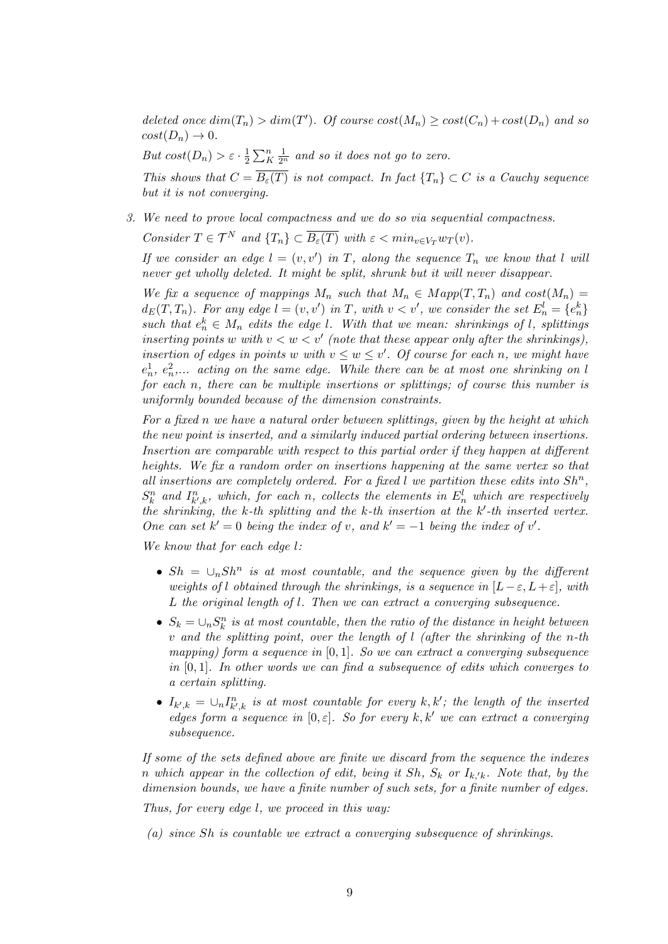deleted once  $dim(T_n) > dim(T')$ . Of course  $cost(M_n) \geq cost(C_n) + cost(D_n)$  and so  $cost(D_n) \rightarrow 0.$ 

But  $cost(D_n) > \varepsilon \cdot \frac{1}{2}$  $\frac{1}{2}\sum_{K}^{n}\frac{1}{2^{n}}$  and so it does not go to zero.

This shows that  $C = \overline{B_{\varepsilon}(T)}$  is not compact. In fact  $\{T_n\} \subset C$  is a Cauchy sequence but it is not converging.

3. We need to prove local compactness and we do so via sequential compactness.

Consider  $T \in \mathcal{T}^N$  and  $\{T_n\} \subset \overline{B_{\varepsilon}(T)}$  with  $\varepsilon < \min_{v \in V_T} w_T(v)$ .

If we consider an edge  $l = (v, v')$  in T, along the sequence  $T_n$  we know that l will never get wholly deleted. It might be split, shrunk but it will never disappear.

We fix a sequence of mappings  $M_n$  such that  $M_n \in Map(T, T_n)$  and  $cost(M_n) =$  $d_E(T,T_n)$ . For any edge  $l = (v, v')$  in T, with  $v < v'$ , we consider the set  $E_n^l = \{e_n^k\}$ such that  $e_n^k \in M_n$  edits the edge l. With that we mean: shrinkings of l, splittings inserting points w with  $v < w < v'$  (note that these appear only after the shrinkings), insertion of edges in points w with  $v \leq w \leq v'$ . Of course for each n, we might have  $e_n^1, e_n^2,...$  acting on the same edge. While there can be at most one shrinking on l for each n, there can be multiple insertions or splittings; of course this number is uniformly bounded because of the dimension constraints.

For a fixed n we have a natural order between splittings, given by the height at which the new point is inserted, and a similarly induced partial ordering between insertions. Insertion are comparable with respect to this partial order if they happen at different heights. We fix a random order on insertions happening at the same vertex so that all insertions are completely ordered. For a fixed  $l$  we partition these edits into  $Sh<sup>n</sup>$ ,  $S_k^n$  and  $I_{k',k}^n$ , which, for each n, collects the elements in  $E_n^l$  which are respectively the shrinking, the k-th splitting and the  $k$ -th insertion at the  $k'$ -th inserted vertex. One can set  $k' = 0$  being the index of v, and  $k' = -1$  being the index of v'.

We know that for each edge  $l$ :

- $Sh = \bigcup_n Sh^n$  is at most countable, and the sequence given by the different weights of l obtained through the shrinkings, is a sequence in  $[L-\varepsilon, L+\varepsilon]$ , with L the original length of l. Then we can extract a converging subsequence.
- $S_k = \bigcup_n S_k^n$  is at most countable, then the ratio of the distance in height between v and the splitting point, over the length of l (after the shrinking of the n-th mapping) form a sequence in  $[0, 1]$ . So we can extract a converging subsequence in  $[0, 1]$ . In other words we can find a subsequence of edits which converges to a certain splitting.
- $I_{k',k} = \bigcup_n I_{k',k}^n$  is at most countable for every k, k'; the length of the inserted edges form a sequence in  $[0, \varepsilon]$ . So for every k, k' we can extract a converging subsequence.

If some of the sets defined above are finite we discard from the sequence the indexes n which appear in the collection of edit, being it Sh,  $S_k$  or  $I_{k/k}$ . Note that, by the dimension bounds, we have a finite number of such sets, for a finite number of edges.

Thus, for every edge l, we proceed in this way:

(a) since Sh is countable we extract a converging subsequence of shrinkings.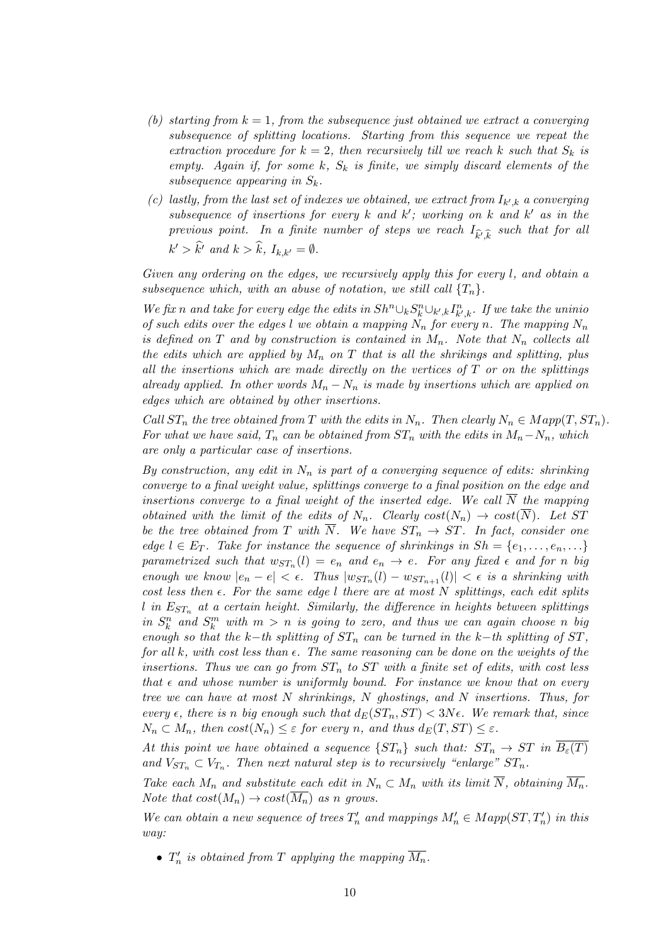- (b) starting from  $k = 1$ , from the subsequence just obtained we extract a converging subsequence of splitting locations. Starting from this sequence we repeat the extraction procedure for  $k = 2$ , then recursively till we reach k such that  $S_k$  is empty. Again if, for some k,  $S_k$  is finite, we simply discard elements of the subsequence appearing in  $S_k$ .
- (c) lastly, from the last set of indexes we obtained, we extract from  $I_{k',k}$  a converging subsequence of insertions for every  $k$  and  $k'$ ; working on  $k$  and  $k'$  as in the previous point. In a finite number of steps we reach  $I_{\widehat{k'},\widehat{k}}$  such that for all  $k' > \widehat{k}'$  and  $k > \widehat{k}$ ,  $I_{k,k'} = \emptyset$ .

Given any ordering on the edges, we recursively apply this for every l, and obtain a subsequence which, with an abuse of notation, we still call  $\{T_n\}$ .

We fix n and take for every edge the edits in  $Sh^n \cup_k S_k^n \cup_{k',k} I_{k',k}^n$ . If we take the uninio of such edits over the edges l we obtain a mapping  $N_n$  for every n. The mapping  $N_n$ is defined on T and by construction is contained in  $M_n$ . Note that  $N_n$  collects all the edits which are applied by  $M_n$  on T that is all the shrikings and splitting, plus all the insertions which are made directly on the vertices of  $T$  or on the splittings already applied. In other words  $M_n - N_n$  is made by insertions which are applied on edges which are obtained by other insertions.

Call  $ST_n$  the tree obtained from T with the edits in  $N_n$ . Then clearly  $N_n \in Map(T, ST_n)$ . For what we have said,  $T_n$  can be obtained from  $ST_n$  with the edits in  $M_n-N_n$ , which are only a particular case of insertions.

By construction, any edit in  $N_n$  is part of a converging sequence of edits: shrinking converge to a final weight value, splittings converge to a final position on the edge and insertions converge to a final weight of the inserted edge. We call  $\overline{N}$  the mapping obtained with the limit of the edits of  $N_n$ . Clearly  $cost(N_n) \rightarrow cost(\overline{N})$ . Let ST be the tree obtained from T with N. We have  $ST_n \rightarrow ST$ . In fact, consider one edge  $l \in E_T$ . Take for instance the sequence of shrinkings in  $Sh = \{e_1, \ldots, e_n, \ldots\}$ parametrized such that  $w_{ST_n}(l) = e_n$  and  $e_n \to e$ . For any fixed  $\epsilon$  and for n big enough we know  $|e_n - e| < \epsilon$ . Thus  $|w_{ST_n}(l) - w_{ST_{n+1}}(l)| < \epsilon$  is a shrinking with cost less then  $\epsilon$ . For the same edge l there are at most N splittings, each edit splits  $l$  in  $E_{ST_n}$  at a certain height. Similarly, the difference in heights between splittings in  $S_k^n$  and  $S_k^m$  with  $m > n$  is going to zero, and thus we can again choose n big enough so that the k−th splitting of  $ST_n$  can be turned in the k−th splitting of  $ST$ , for all k, with cost less than  $\epsilon$ . The same reasoning can be done on the weights of the insertions. Thus we can go from  $ST_n$  to  $ST$  with a finite set of edits, with cost less that  $\epsilon$  and whose number is uniformly bound. For instance we know that on every tree we can have at most  $N$  shrinkings,  $N$  ghostings, and  $N$  insertions. Thus, for every  $\epsilon$ , there is n big enough such that  $d_E(ST_n, ST) < 3N\epsilon$ . We remark that, since  $N_n \subset M_n$ , then  $cost(N_n) \leq \varepsilon$  for every n, and thus  $d_E(T, ST) \leq \varepsilon$ .

At this point we have obtained a sequence  $\{ST_n\}$  such that:  $ST_n \to ST$  in  $B_{\varepsilon}(T)$ and  $V_{ST_n} \subset V_{T_n}$ . Then next natural step is to recursively "enlarge"  $ST_n$ .

Take each  $M_n$  and substitute each edit in  $N_n \subset M_n$  with its limit  $\overline{N}$ , obtaining  $\overline{M_n}$ . Note that  $cost(M_n) \rightarrow cost(\overline{M_n})$  as n grows.

We can obtain a new sequence of trees  $T'_n$  and mappings  $M'_n \in Map(ST, T'_n)$  in this way:

•  $T'_n$  is obtained from T applying the mapping  $\overline{M_n}$ .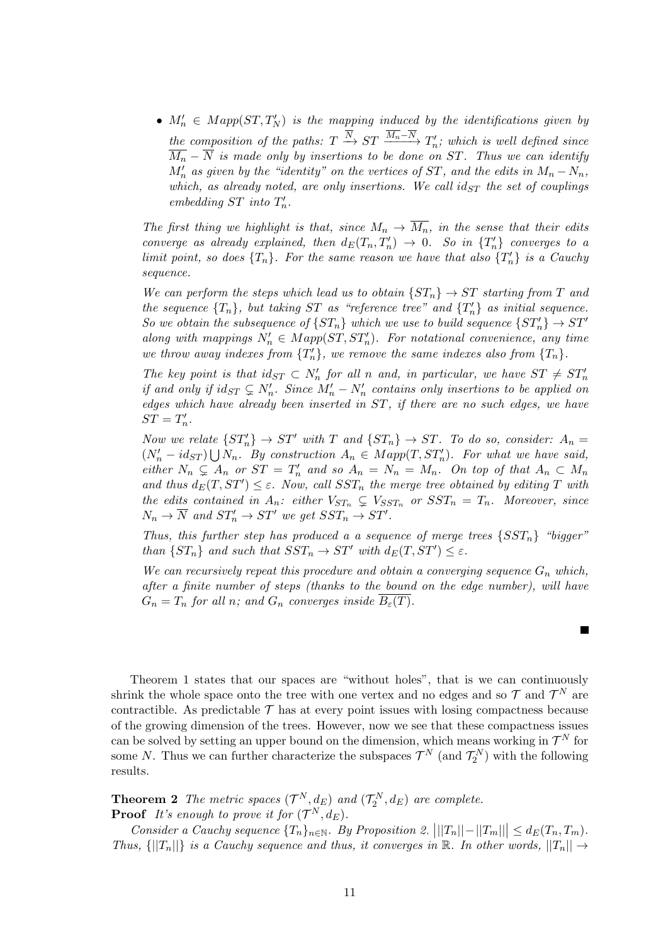•  $M'_n \in Map(ST, T'_N)$  is the mapping induced by the identifications given by the composition of the paths:  $T \stackrel{N}{\rightarrow} ST \stackrel{M_n-N}{\rightarrow} T'_n$ ; which is well defined since  $\overline{M_n} - \overline{N}$  is made only by insertions to be done on ST. Thus we can identify  $M'_n$  as given by the "identity" on the vertices of ST, and the edits in  $M_n - N_n$ , which, as already noted, are only insertions. We call  $id_{ST}$  the set of couplings embedding ST into  $T_n'$ .

The first thing we highlight is that, since  $M_n \to \overline{M_n}$ , in the sense that their edits converge as already explained, then  $d_E(T_n, T'_n) \to 0$ . So in  $\{T'_n\}$  converges to a limit point, so does  ${T_n}$ . For the same reason we have that also  ${T_n'}$  is a Cauchy sequence.

We can perform the steps which lead us to obtain  $\{ST_n\} \to ST$  starting from T and the sequence  ${T_n}$ , but taking ST as "reference tree" and  ${T_n}$  as initial sequence. So we obtain the subsequence of  $\{ST_n\}$  which we use to build sequence  $\{ST_n'\}\rightarrow ST'$ along with mappings  $N'_n \in Map(ST, ST'_n)$ . For notational convenience, any time we throw away indexes from  $\{T_n'\}$ , we remove the same indexes also from  $\{T_n\}$ .

The key point is that  $id_{ST} \subset N'_n$  for all n and, in particular, we have  $ST \neq ST'_n$ if and only if  $id_{ST} \subsetneq N'_n$ . Since  $M'_n - N'_n$  contains only insertions to be applied on edges which have already been inserted in ST, if there are no such edges, we have  $ST=T'_n$ .

Now we relate  $\{ST'_n\} \to ST'$  with T and  $\{ST_n\} \to ST$ . To do so, consider:  $A_n =$  $(N'_n - id_{ST}) \bigcup N_n$ . By construction  $A_n \in Map(T, ST'_n)$ . For what we have said, either  $N_n \subsetneq A_n$  or  $ST = T'_n$  and so  $A_n = N_n = M_n$ . On top of that  $A_n \subset M_n$ and thus  $d_E(T, ST') \leq \varepsilon$ . Now, call  $SST_n$  the merge tree obtained by editing T with the edits contained in  $A_n$ : either  $V_{ST_n} \subsetneq V_{SST_n}$  or  $SST_n = T_n$ . Moreover, since  $N_n \to \overline{N}$  and  $ST'_n \to ST'$  we get  $SST_n \to ST'.$ 

Thus, this further step has produced a a sequence of merge trees  $\{SST_n\}$  "bigger" than  $\{ST_n\}$  and such that  $SST_n \to ST'$  with  $d_E(T, ST') \leq \varepsilon$ .

We can recursively repeat this procedure and obtain a converging sequence  $G_n$  which, after a finite number of steps (thanks to the bound on the edge number), will have  $G_n = T_n$  for all n; and  $G_n$  converges inside  $B_{\varepsilon}(T)$ .

ш

Theorem [1](#page-7-0) states that our spaces are "without holes", that is we can continuously shrink the whole space onto the tree with one vertex and no edges and so  $\mathcal{T}$  and  $\mathcal{T}^N$  are contractible. As predictable  $\mathcal T$  has at every point issues with losing compactness because of the growing dimension of the trees. However, now we see that these compactness issues can be solved by setting an upper bound on the dimension, which means working in  $\mathcal{T}^N$  for some N. Thus we can further characterize the subspaces  $\mathcal{T}^N$  (and  $\mathcal{T}_2^N$ ) with the following results.

<span id="page-10-0"></span>**Theorem 2** The metric spaces  $(\mathcal{T}^N, d_E)$  and  $(\mathcal{T}_2^N, d_E)$  are complete. **Proof** It's enough to prove it for  $(\mathcal{T}^N, d_E)$ .

Consider a Cauchy sequence  $\{T_n\}_{n\in\mathbb{N}}$ . By Proposition [2,](#page-6-2)  $|||T_n|| - ||T_m||| \leq d_E(T_n, T_m)$ . Thus,  $\{||T_n||\}$  is a Cauchy sequence and thus, it converges in R. In other words,  $||T_n|| \rightarrow$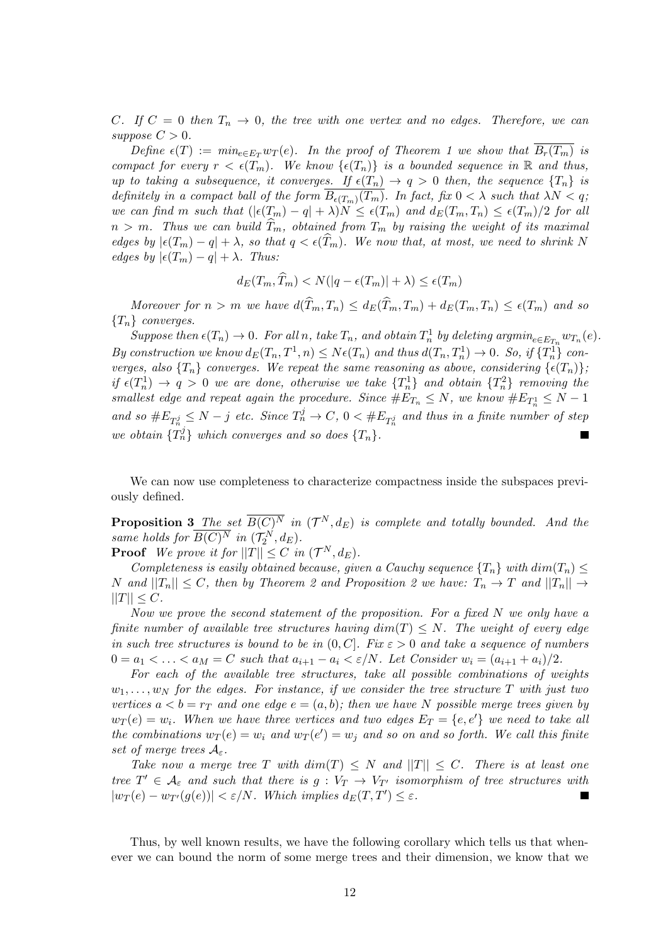C. If  $C = 0$  then  $T_n \to 0$ , the tree with one vertex and no edges. Therefore, we can suppose  $C > 0$ .

Define  $\epsilon(T) := min_{e \in E_T} w_T(e)$ . In the proof of Theorem [1](#page-7-0) we show that  $B_r(T_m)$  is compact for every  $r < \epsilon(T_m)$ . We know  $\{\epsilon(T_n)\}\$ is a bounded sequence in  $\mathbb R$  and thus, up to taking a subsequence, it converges. If  $\epsilon(T_n) \to q > 0$  then, the sequence  $\{T_n\}$  is definitely in a compact ball of the form  $B_{\epsilon(T_m)}(T_m)$ . In fact, fix  $0 < \lambda$  such that  $\lambda N < q$ ; we can find m such that  $(|\epsilon(T_m) - q| + \lambda)N \leq \epsilon(T_m)$  and  $d_E(T_m, T_n) \leq \epsilon(T_m)/2$  for all  $n > m$ . Thus we can build  $\hat{T}_m$ , obtained from  $T_m$  by raising the weight of its maximal edges by  $|\epsilon(T_m) - q| + \lambda$ , so that  $q < \epsilon(T_m)$ . We now that, at most, we need to shrink N edges by  $|\epsilon(T_m) - q| + \lambda$ . Thus:

$$
d_E(T_m, \widehat{T}_m) < N(|q - \epsilon(T_m)| + \lambda) \le \epsilon(T_m)
$$

Moreover for  $n > m$  we have  $d(\widehat{T}_m, T_n) \leq d_E(\widehat{T}_m, T_m) + d_E(T_m, T_n) \leq \epsilon(T_m)$  and so  ${T_n}$  converges.

Suppose then  $\epsilon(T_n) \to 0$ . For all n, take  $T_n$ , and obtain  $T_n^1$  by deleting argmin<sub>e</sub> $\epsilon_{E_{T_n}} w_{T_n}(e)$ . By construction we know  $d_E(T_n, T^1, n) \le N\epsilon(T_n)$  and thus  $d(T_n, T_n^1) \to 0$ . So, if  $\{T_n^1\}$  converges, also  $\{T_n\}$  converges. We repeat the same reasoning as above, considering  $\{\epsilon(T_n)\};$ if  $\epsilon(T_n^1) \to q > 0$  we are done, otherwise we take  $\{T_n^1\}$  and obtain  $\{T_n^2\}$  removing the smallest edge and repeat again the procedure. Since  $#E_{T_n} \leq N$ , we know  $#E_{T_n} \leq N - 1$ and so  $\#E_{T_n^j} \leq N - j$  etc. Since  $T_n^j \to C$ ,  $0 < \#E_{T_n^j}$  and thus in a finite number of step we obtain  $\{T_n^j\}$  which converges and so does  $\{T_n\}$ .

We can now use completeness to characterize compactness inside the subspaces previously defined.

**Proposition 3** The set  $\overline{B(C)^N}$  in  $({\cal T}^N,d_E)$  is complete and totally bounded. And the same holds for  $\overline{B(C)^N}$  in  $(\mathcal{T}_2^N, d_E)$ .

**Proof** We prove it for  $||T|| \leq C$  in  $(\mathcal{T}^N, d_E)$ .

Completeness is easily obtained because, given a Cauchy sequence  $\{T_n\}$  with  $dim(T_n) \leq$ N and  $||T_n|| \leq C$ , then by Theorem [2](#page-6-2) and Proposition 2 we have:  $T_n \to T$  and  $||T_n|| \to$  $||T|| \leq C.$ 

Now we prove the second statement of the proposition. For a fixed N we only have a finite number of available tree structures having  $dim(T) \leq N$ . The weight of every edge in such tree structures is bound to be in  $(0, C]$ . Fix  $\varepsilon > 0$  and take a sequence of numbers  $0 = a_1 < \ldots < a_M = C$  such that  $a_{i+1} - a_i < \varepsilon/N$ . Let Consider  $w_i = (a_{i+1} + a_i)/2$ .

For each of the available tree structures, take all possible combinations of weights  $w_1, \ldots, w_N$  for the edges. For instance, if we consider the tree structure T with just two vertices  $a < b = r<sub>T</sub>$  and one edge  $e = (a, b)$ ; then we have N possible merge trees given by  $w_T(e) = w_i$ . When we have three vertices and two edges  $E_T = \{e, e'\}$  we need to take all the combinations  $w_T(e) = w_i$  and  $w_T(e') = w_j$  and so on and so forth. We call this finite set of merge trees  $A_{\varepsilon}$ .

Take now a merge tree T with  $dim(T) \leq N$  and  $||T|| \leq C$ . There is at least one tree  $T' \in \mathcal{A}_{\varepsilon}$  and such that there is  $g: V_T \to V_{T'}$  isomorphism of tree structures with  $|w_T(e) - w_{T'}(g(e))| < \varepsilon/N$ . Which implies  $d_E(T, T') \leq \varepsilon$ .  $\blacksquare$ 

Thus, by well known results, we have the following corollary which tells us that whenever we can bound the norm of some merge trees and their dimension, we know that we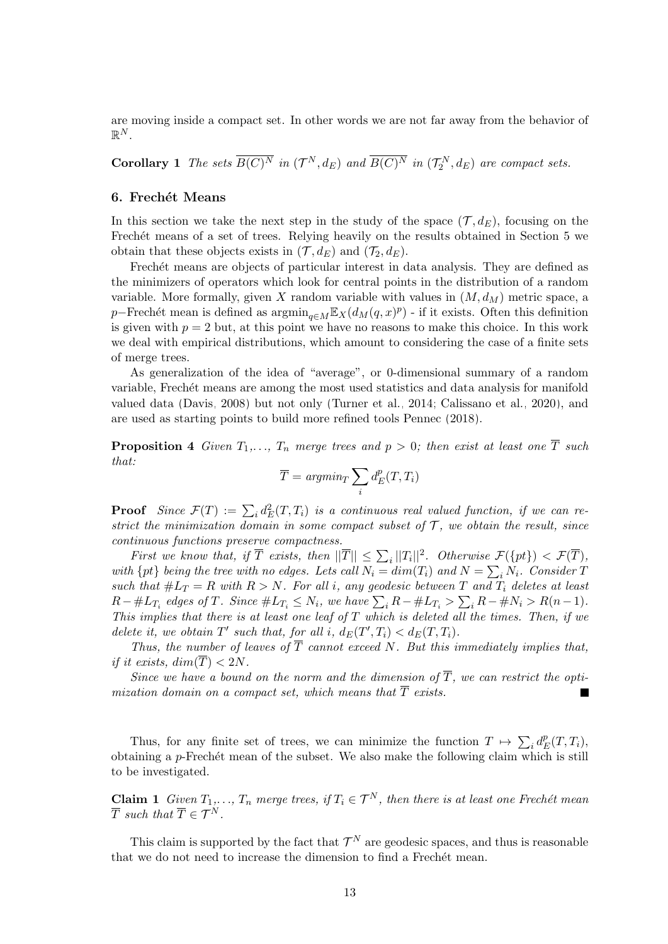are moving inside a compact set. In other words we are not far away from the behavior of  $\mathbb{R}^N$ .

**Corollary 1** The sets  $\overline{B(C)^N}$  in  $(\mathcal{T}^N, d_E)$  and  $\overline{B(C)^N}$  in  $(\mathcal{T}^N_2, d_E)$  are compact sets.

#### <span id="page-12-0"></span>6. Frechét Means

In this section we take the next step in the study of the space  $(\mathcal{T}, d_E)$ , focusing on the Frechét means of a set of trees. Relying heavily on the results obtained in Section [5](#page-6-1) we obtain that these objects exists in  $(\mathcal{T}, d_E)$  and  $(\mathcal{T}_2, d_E)$ .

Frechét means are objects of particular interest in data analysis. They are defined as the minimizers of operators which look for central points in the distribution of a random variable. More formally, given X random variable with values in  $(M, d_M)$  metric space, a p–Frechét mean is defined as  $\operatorname{argmin}_{q \in M} \mathbb{E}_X(d_M(q, x)^p)$  - if it exists. Often this definition is given with  $p = 2$  but, at this point we have no reasons to make this choice. In this work we deal with empirical distributions, which amount to considering the case of a finite sets of merge trees.

As generalization of the idea of "average", or 0-dimensional summary of a random variable, Frechét means are among the most used statistics and data analysis for manifold valued data [\(Davis, 2008\)](#page-22-13) but not only [\(Turner et al., 2014;](#page-24-4) [Calissano et al., 2020\)](#page-22-8), and are used as starting points to build more refined tools [Pennec \(2018\)](#page-23-6).

**Proposition 4** Given  $T_1, \ldots, T_n$  merge trees and  $p > 0$ ; then exist at least one  $\overline{T}$  such that:

$$
\overline{T} = argmin_{T} \sum_{i} d_{E}^{p}(T, T_{i})
$$

**Proof** Since  $\mathcal{F}(T) := \sum_i d_E^2(T, T_i)$  is a continuous real valued function, if we can restrict the minimization domain in some compact subset of  $\mathcal T$ , we obtain the result, since continuous functions preserve compactness.

First we know that, if  $\overline{T}$  exists, then  $||\overline{T}|| \leq \sum_i ||T_i||^2$ . Otherwise  $\mathcal{F}(\{pt\}) < \mathcal{F}(\overline{T})$ , with  $\{pt\}$  being the tree with no edges. Lets call  $N_i = dim(T_i)$  and  $N = \sum_i N_i$ . Consider T such that  $\#L_T = R$  with  $R > N$ . For all i, any geodesic between T and  $T_i$  deletes at least  $R-\#L_{T_i}$  edges of T. Since  $\#L_{T_i} \leq N_i$ , we have  $\sum_i R-\#L_{T_i} > \sum_i R-\#N_i > R(n-1)$ . This implies that there is at least one leaf of  $T$  which is deleted all the times. Then, if we delete it, we obtain  $T'$  such that, for all i,  $d_E(T', T_i) < d_E(T, T_i)$ .

Thus, the number of leaves of  $\overline{T}$  cannot exceed N. But this immediately implies that, if it exists,  $dim(\overline{T}) < 2N$ .

Since we have a bound on the norm and the dimension of  $\overline{T}$ , we can restrict the optimization domain on a compact set, which means that  $\overline{T}$  exists.

Thus, for any finite set of trees, we can minimize the function  $T \mapsto \sum_i d_i^p$  $_{E}^{p}(T,T_{i}),$ obtaining a  $p$ -Frechét mean of the subset. We also make the following claim which is still to be investigated.

**Claim 1** Given  $T_1, \ldots, T_n$  merge trees, if  $T_i \in \mathcal{T}^N$ , then there is at least one Frechét mean  $\overline{T}$  such that  $\overline{T} \in \mathcal{T}^N$ .

This claim is supported by the fact that  $\mathcal{T}^N$  are geodesic spaces, and thus is reasonable that we do not need to increase the dimension to find a Frechet mean.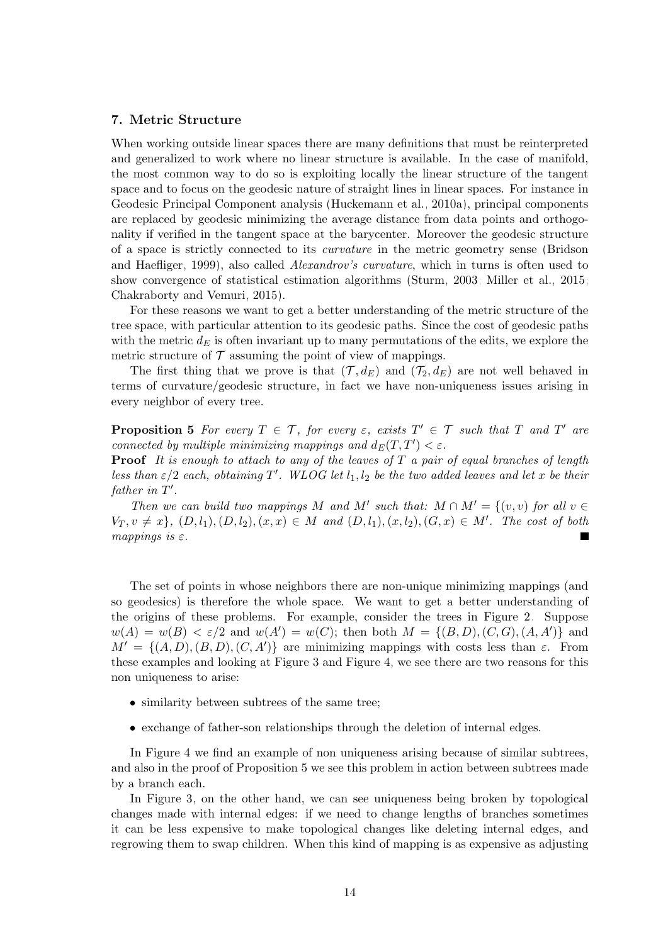# <span id="page-13-0"></span>7. Metric Structure

When working outside linear spaces there are many definitions that must be reinterpreted and generalized to work where no linear structure is available. In the case of manifold, the most common way to do so is exploiting locally the linear structure of the tangent space and to focus on the geodesic nature of straight lines in linear spaces. For instance in Geodesic Principal Component analysis [\(Huckemann et al., 2010a\)](#page-23-8), principal components are replaced by geodesic minimizing the average distance from data points and orthogonality if verified in the tangent space at the barycenter. Moreover the geodesic structure of a space is strictly connected to its curvature in the metric geometry sense [\(Bridson](#page-22-15) [and Haefliger, 1999\)](#page-22-15), also called *Alexandrov's curvature*, which in turns is often used to show convergence of statistical estimation algorithms [\(Sturm, 2003;](#page-24-5) [Miller et al., 2015;](#page-23-13) [Chakraborty and Vemuri, 2015\)](#page-22-16).

For these reasons we want to get a better understanding of the metric structure of the tree space, with particular attention to its geodesic paths. Since the cost of geodesic paths with the metric  $d_E$  is often invariant up to many permutations of the edits, we explore the metric structure of  $\mathcal T$  assuming the point of view of mappings.

The first thing that we prove is that  $(\mathcal{T}, d_E)$  and  $(\mathcal{T}_2, d_E)$  are not well behaved in terms of curvature/geodesic structure, in fact we have non-uniqueness issues arising in every neighbor of every tree.

<span id="page-13-1"></span>**Proposition 5** For every  $T \in \mathcal{T}$ , for every  $\varepsilon$ , exists  $T' \in \mathcal{T}$  such that T and T' are connected by multiple minimizing mappings and  $d_E(T, T') < \varepsilon$ .

**Proof** It is enough to attach to any of the leaves of  $T$  a pair of equal branches of length less than  $\varepsilon/2$  each, obtaining T'. WLOG let  $l_1, l_2$  be the two added leaves and let x be their father in  $T'$ .

Then we can build two mappings M and M' such that:  $M \cap M' = \{(v, v) \text{ for all } v \in$  $V_T, v \neq x\}, (D, l_1), (D, l_2), (x, x) \in M$  and  $(D, l_1), (x, l_2), (G, x) \in M'$ . The cost of both mappings is  $\varepsilon$ .

The set of points in whose neighbors there are non-unique minimizing mappings (and so geodesics) is therefore the whole space. We want to get a better understanding of the origins of these problems. For example, consider the trees in Figure [2.](#page-5-1) Suppose  $w(A) = w(B) < \varepsilon/2$  and  $w(A') = w(C)$ ; then both  $M = \{(B, D), (C, G), (A, A')\}$  and  $M' = \{(A, D), (B, D), (C, A')\}$  are minimizing mappings with costs less than  $\varepsilon$ . From these examples and looking at Figure [3](#page-14-0) and Figure [4,](#page-14-1) we see there are two reasons for this non uniqueness to arise:

- similarity between subtrees of the same tree;
- exchange of father-son relationships through the deletion of internal edges.

In Figure [4](#page-14-1) we find an example of non uniqueness arising because of similar subtrees, and also in the proof of Proposition [5](#page-13-1) we see this problem in action between subtrees made by a branch each.

In Figure [3,](#page-14-0) on the other hand, we can see uniqueness being broken by topological changes made with internal edges: if we need to change lengths of branches sometimes it can be less expensive to make topological changes like deleting internal edges, and regrowing them to swap children. When this kind of mapping is as expensive as adjusting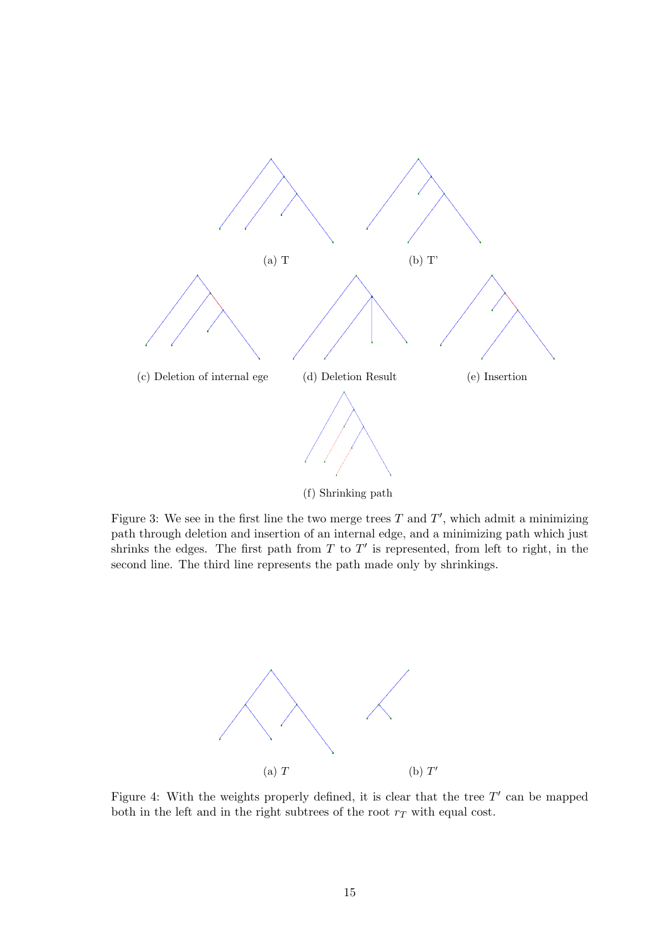<span id="page-14-0"></span>

Figure 3: We see in the first line the two merge trees  $T$  and  $T'$ , which admit a minimizing path through deletion and insertion of an internal edge, and a minimizing path which just shrinks the edges. The first path from  $T$  to  $T'$  is represented, from left to right, in the second line. The third line represents the path made only by shrinkings.

<span id="page-14-1"></span>

Figure 4: With the weights properly defined, it is clear that the tree  $T'$  can be mapped both in the left and in the right subtrees of the root  $r<sub>T</sub>$  with equal cost.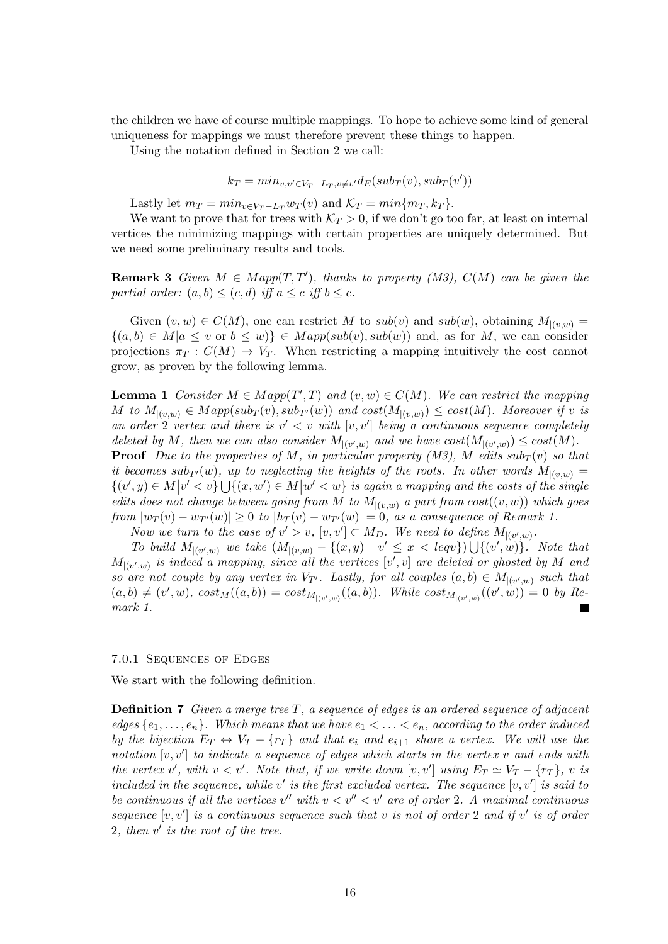the children we have of course multiple mappings. To hope to achieve some kind of general uniqueness for mappings we must therefore prevent these things to happen.

Using the notation defined in Section [2](#page-2-0) we call:

$$
k_T=min_{v,v'\in V_T-L_T,v\neq v'}d_E(sub_T(v),sub_T(v'))
$$

Lastly let  $m_T = min_{v \in V_T - L_T} w_T(v)$  and  $\mathcal{K}_T = min\{m_T, k_T\}.$ 

We want to prove that for trees with  $K_T > 0$ , if we don't go too far, at least on internal vertices the minimizing mappings with certain properties are uniquely determined. But we need some preliminary results and tools.

**Remark 3** Given  $M \in Map(T, T')$ , thanks to property (M3),  $C(M)$  can be given the partial order:  $(a, b) \leq (c, d)$  iff  $a \leq c$  iff  $b \leq c$ .

Given  $(v, w) \in C(M)$ , one can restrict M to  $sub(v)$  and  $sub(w)$ , obtaining  $M_{|(v,w)} =$  ${(a, b) \in M | a \le v \text{ or } b \le w}$   $\in Map(sub(v), sub(w))$  and, as for M, we can consider projections  $\pi_T : C(M) \to V_T$ . When restricting a mapping intuitively the cost cannot grow, as proven by the following lemma.

<span id="page-15-0"></span>**Lemma 1** Consider  $M \in Map(T', T)$  and  $(v, w) \in C(M)$ . We can restrict the mapping M to  $M_{|(v,w)} \in Map(sub_T(v), sub_{T'}(w))$  and  $cost(M_{|(v,w)}) \le cost(M)$ . Moreover if v is an order 2 vertex and there is  $v' < v$  with  $[v, v']$  being a continuous sequence completely deleted by M, then we can also consider  $M_{|(v',w)}$  and we have  $cost(M_{|(v',w)}) \leq cost(M)$ .

**Proof** Due to the properties of M, in particular property (M3), M edits  $sub_T(v)$  so that it becomes sub $_{T}(w)$ , up to neglecting the heights of the roots. In other words  $M_{|(v,w)} =$  $\{(v',y)\in M | v' < v\} \bigcup \{(x,w')\in M | w' < w\}$  is again a mapping and the costs of the single edits does not change between going from M to  $M_{|(v,w)}$  a part from  $cost((v,w))$  which goes from  $|w_T(v) - w_{T'}(w)| \geq 0$  to  $|h_T(v) - w_{T'}(w)| = 0$ , as a consequence of Remark [1.](#page-3-1)

Now we turn to the case of  $v' > v$ ,  $[v, v'] \subset M_D$ . We need to define  $M_{|(v', w)}$ .

To build  $M_{|(v',w)}$  we take  $(M_{|(v,w)} - \{(x,y) \mid v' \leq x < \text{leq}v\}) \bigcup \{(v',w)\}.$  Note that  $M_{|(v',w)}$  is indeed a mapping, since all the vertices  $[v',v]$  are deleted or ghosted by M and so are not couple by any vertex in  $V_{T'}$ . Lastly, for all couples  $(a, b) \in M_{|(v', w)}$  such that  $(a, b) \neq (v', w), \ \cos t_{M}((a, b)) = \cos t_{M_{|(v', w)}}((a, b)).$  While  $\cos t_{M_{|(v', w)}}((v', w)) = 0$  by Remark [1.](#page-3-1)

#### 7.0.1 Sequences of Edges

We start with the following definition.

**Definition 7** Given a merge tree T, a sequence of edges is an ordered sequence of adjacent edges  $\{e_1, \ldots, e_n\}$ . Which means that we have  $e_1 < \ldots < e_n$ , according to the order induced by the bijection  $E_T \leftrightarrow V_T - \{r_T\}$  and that  $e_i$  and  $e_{i+1}$  share a vertex. We will use the notation  $[v, v']$  to indicate a sequence of edges which starts in the vertex v and ends with the vertex v', with  $v < v'$ . Note that, if we write down  $[v, v']$  using  $E_T \simeq V_T - \{r_T\}$ , v is included in the sequence, while v' is the first excluded vertex. The sequence  $[v, v']$  is said to be continuous if all the vertices v'' with  $v < v'' < v'$  are of order 2. A maximal continuous sequence  $[v, v']$  is a continuous sequence such that v is not of order 2 and if v' is of order 2, then  $v'$  is the root of the tree.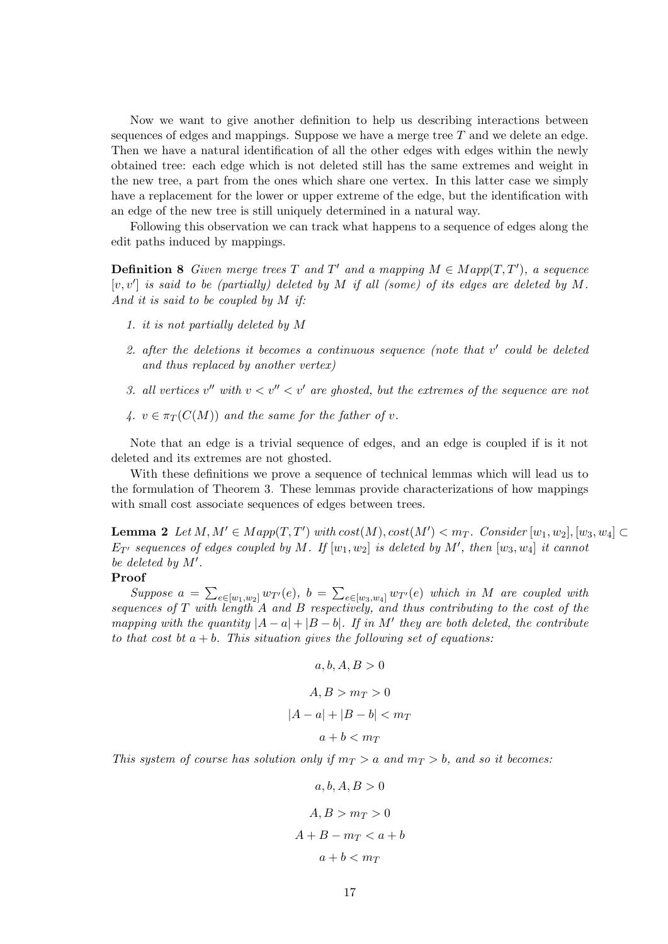Now we want to give another definition to help us describing interactions between sequences of edges and mappings. Suppose we have a merge tree  $T$  and we delete an edge. Then we have a natural identification of all the other edges with edges within the newly obtained tree: each edge which is not deleted still has the same extremes and weight in the new tree, a part from the ones which share one vertex. In this latter case we simply have a replacement for the lower or upper extreme of the edge, but the identification with an edge of the new tree is still uniquely determined in a natural way.

Following this observation we can track what happens to a sequence of edges along the edit paths induced by mappings.

**Definition 8** Given merge trees T and T' and a mapping  $M \in Map(T, T')$ , a sequence  $[v, v']$  is said to be (partially) deleted by M if all (some) of its edges are deleted by M. And it is said to be coupled by M if:

- 1. it is not partially deleted by M
- 2. after the deletions it becomes a continuous sequence (note that  $v'$  could be deleted and thus replaced by another vertex)
- 3. all vertices  $v''$  with  $v < v'' < v'$  are ghosted, but the extremes of the sequence are not
- 4.  $v \in \pi_T(C(M))$  and the same for the father of v.

Note that an edge is a trivial sequence of edges, and an edge is coupled if is it not deleted and its extremes are not ghosted.

With these definitions we prove a sequence of technical lemmas which will lead us to the formulation of Theorem [3.](#page-19-0) These lemmas provide characterizations of how mappings with small cost associate sequences of edges between trees.

<span id="page-16-0"></span>**Lemma 2** Let  $M, M' \in Map(T, T')$  with  $cost(M), cost(M') < m_T$ . Consider  $[w_1, w_2], [w_3, w_4] \subset$  $E_{T}$  sequences of edges coupled by M. If  $[w_1, w_2]$  is deleted by M', then  $[w_3, w_4]$  it cannot be deleted by  $M'$ .

#### Proof

Suppose  $a = \sum_{e \in [w_1, w_2]} w_{T'}(e)$ ,  $b = \sum_{e \in [w_3, w_4]} w_{T'}(e)$  which in M are coupled with sequences of  $T$  with length  $A$  and  $B$  respectively, and thus contributing to the cost of the mapping with the quantity  $|A - a| + |B - b|$ . If in M' they are both deleted, the contribute to that cost bt  $a + b$ . This situation gives the following set of equations:

$$
a, b, A, B > 0
$$

$$
A, B > mT > 0
$$

$$
|A - a| + |B - b| < mT
$$

$$
a + b < mT
$$

This system of course has solution only if  $m<sub>T</sub> > a$  and  $m<sub>T</sub> > b$ , and so it becomes:

$$
a, b, A, B > 0
$$

$$
A, B > mT > 0
$$

$$
A + B - mT < a + b
$$

$$
a + b < mT
$$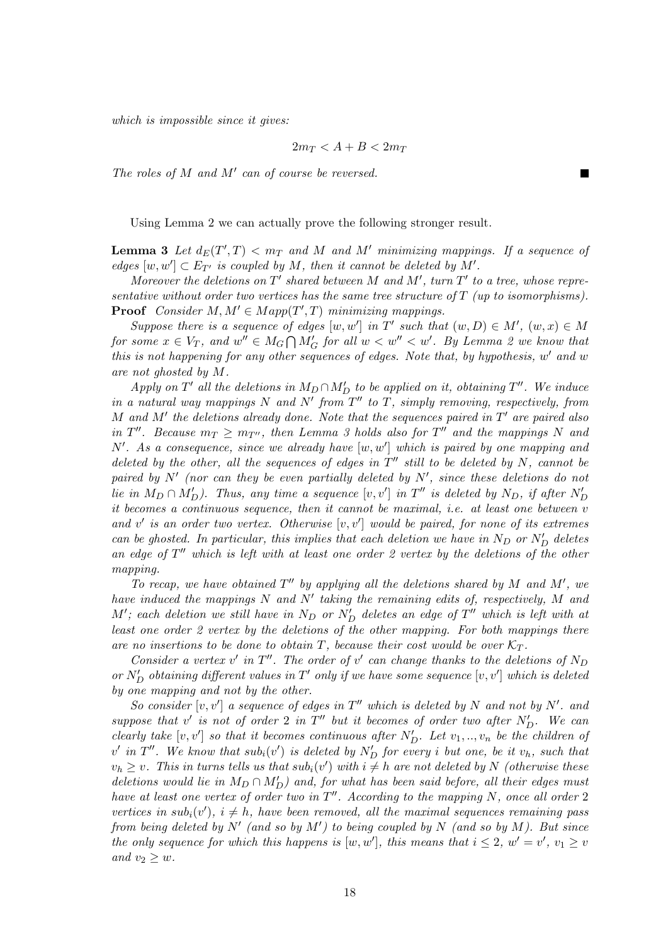which is impossible since it gives:

$$
2m_T < A + B < 2m_T
$$

The roles of  $M$  and  $M'$  can of course be reversed.

Using Lemma [2](#page-16-0) we can actually prove the following stronger result.

<span id="page-17-0"></span>**Lemma 3** Let  $d_E(T',T) < m_T$  and M and M' minimizing mappings. If a sequence of edges  $[w, w'] \subset E_{T'}$  is coupled by M, then it cannot be deleted by M'.

Moreover the deletions on  $T'$  shared between M and M', turn  $T'$  to a tree, whose representative without order two vertices has the same tree structure of  $T$  (up to isomorphisms). **Proof** Consider  $M, M' \in Map(T', T)$  minimizing mappings.

Suppose there is a sequence of edges  $[w, w']$  in T' such that  $(w, D) \in M'$ ,  $(w, x) \in M$ for some  $x \in V_T$ , and  $w'' \in M_G \cap M_G'$  for all  $w < w'' < w'$ . By Lemma [2](#page-16-0) we know that this is not happening for any other sequences of edges. Note that, by hypothesis,  $w'$  and  $w$ are not ghosted by M.

Apply on  $T'$  all the deletions in  $M_D \cap M'_D$  to be applied on it, obtaining  $T''$ . We induce in a natural way mappings N and N' from  $T''$  to T, simply removing, respectively, from  $M$  and  $M'$  the deletions already done. Note that the sequences paired in  $T'$  are paired also in  $T''$ . Because  $m_T \ge m_{T''}$ , then Lemma [3](#page-17-0) holds also for  $T''$  and the mappings N and  $N'$ . As a consequence, since we already have  $[w, w']$  which is paired by one mapping and deleted by the other, all the sequences of edges in  $T''$  still to be deleted by N, cannot be paired by  $N'$  (nor can they be even partially deleted by  $N'$ , since these deletions do not lie in  $M_D \cap M'_D$ ). Thus, any time a sequence  $[v, v']$  in  $T''$  is deleted by  $N_D$ , if after  $N'_D$ it becomes a continuous sequence, then it cannot be maximal, i.e. at least one between v and  $v'$  is an order two vertex. Otherwise  $[v, v']$  would be paired, for none of its extremes can be ghosted. In particular, this implies that each deletion we have in  $N_D$  or  $N'_D$  deletes an edge of  $T''$  which is left with at least one order 2 vertex by the deletions of the other mapping.

To recap, we have obtained  $T''$  by applying all the deletions shared by M and M', we have induced the mappings  $N$  and  $N'$  taking the remaining edits of, respectively,  $M$  and  $M'$ ; each deletion we still have in  $N_D$  or  $N'_D$  deletes an edge of  $T''$  which is left with at least one order 2 vertex by the deletions of the other mapping. For both mappings there are no insertions to be done to obtain T, because their cost would be over  $\mathcal{K}_{T}$ .

Consider a vertex v' in  $T''$ . The order of v' can change thanks to the deletions of N<sub>D</sub> or  $N'_D$  obtaining different values in  $T'$  only if we have some sequence  $[v, v']$  which is deleted by one mapping and not by the other.

So consider  $[v, v']$  a sequence of edges in  $T''$  which is deleted by N and not by N'. and suppose that  $v'$  is not of order 2 in  $T''$  but it becomes of order two after  $N'_D$ . We can clearly take  $[v, v']$  so that it becomes continuous after  $N'_D$ . Let  $v_1, ..., v_n$  be the children of  $v'$  in  $T''$ . We know that  $sub_i(v')$  is deleted by  $N'_D$  for every i but one, be it  $v_h$ , such that  $v_h \geq v$ . This in turns tells us that  $sub_i(v')$  with  $i \neq h$  are not deleted by N (otherwise these deletions would lie in  $M_D \cap M'_D$ ) and, for what has been said before, all their edges must have at least one vertex of order two in  $T''$ . According to the mapping N, once all order 2 vertices in  $sub_i(v')$ ,  $i \neq h$ , have been removed, all the maximal sequences remaining pass from being deleted by  $N'$  (and so by  $M'$ ) to being coupled by N (and so by M). But since the only sequence for which this happens is  $[w, w']$ , this means that  $i \leq 2$ ,  $w' = v'$ ,  $v_1 \geq v$ and  $v_2 \geq w$ .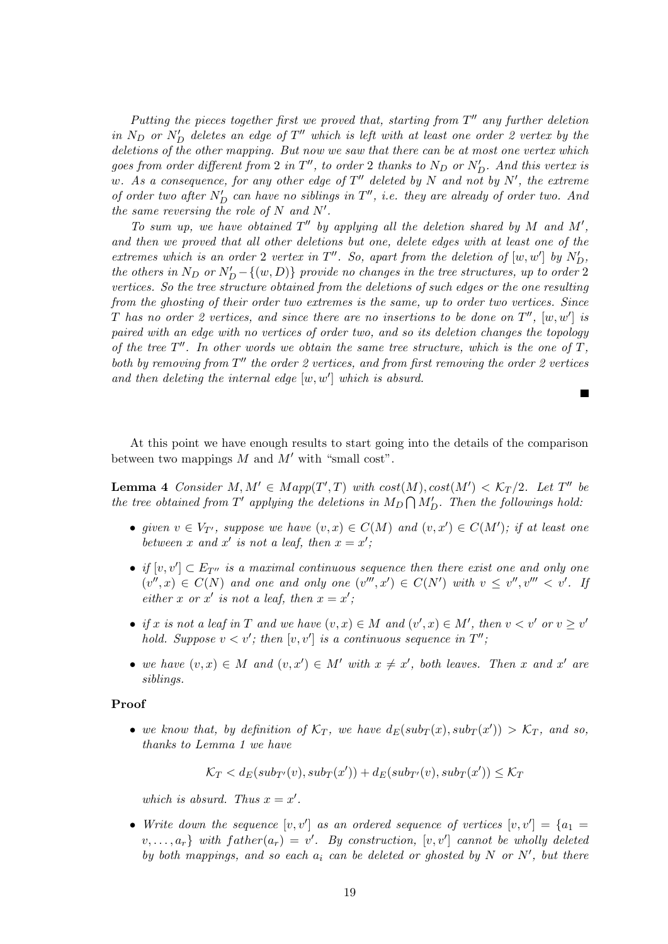Putting the pieces together first we proved that, starting from  $T''$  any further deletion in  $N_D$  or  $N'_D$  deletes an edge of  $T''$  which is left with at least one order 2 vertex by the deletions of the other mapping. But now we saw that there can be at most one vertex which goes from order different from 2 in  $T''$ , to order 2 thanks to  $N_D$  or  $N'_D$ . And this vertex is w. As a consequence, for any other edge of  $T''$  deleted by N and not by N', the extreme of order two after  $N'_D$  can have no siblings in  $T''$ , i.e. they are already of order two. And the same reversing the role of  $N$  and  $N'$ .

To sum up, we have obtained  $T''$  by applying all the deletion shared by M and M', and then we proved that all other deletions but one, delete edges with at least one of the extremes which is an order 2 vertex in  $T''$ . So, apart from the deletion of  $[w, w']$  by  $N'_D$ , the others in  $N_D$  or  $N'_D - \{(w, D)\}\$  provide no changes in the tree structures, up to order 2 vertices. So the tree structure obtained from the deletions of such edges or the one resulting from the ghosting of their order two extremes is the same, up to order two vertices. Since T has no order 2 vertices, and since there are no insertions to be done on  $T''$ ,  $[w, w']$  is paired with an edge with no vertices of order two, and so its deletion changes the topology of the tree  $T''$ . In other words we obtain the same tree structure, which is the one of  $T$ , both by removing from  $T''$  the order 2 vertices, and from first removing the order 2 vertices and then deleting the internal edge  $[w, w']$  which is absurd.

At this point we have enough results to start going into the details of the comparison between two mappings  $M$  and  $M'$  with "small cost".

<span id="page-18-0"></span>**Lemma 4** Consider  $M, M' \in Map(T', T)$  with  $cost(M), cost(M') < \mathcal{K}_T/2$ . Let T'' be the tree obtained from T' applying the deletions in  $M_D \bigcap M'_D$ . Then the followings hold:

- given  $v \in V_{T'}$ , suppose we have  $(v, x) \in C(M)$  and  $(v, x') \in C(M')$ ; if at least one between x and x' is not a leaf, then  $x = x'$ ;
- if  $[v, v'] \subset E_{T''}$  is a maximal continuous sequence then there exist one and only one  $(v'',x) \in C(N)$  and one and only one  $(v''',x') \in C(N')$  with  $v \leq v'',v''' < v'$ . If either x or x' is not a leaf, then  $x = x'$ ;
- if x is not a leaf in T and we have  $(v, x) \in M$  and  $(v', x) \in M'$ , then  $v < v'$  or  $v \geq v'$ hold. Suppose  $v < v'$ ; then  $[v, v']$  is a continuous sequence in  $T''$ ;
- we have  $(v, x) \in M$  and  $(v, x') \in M'$  with  $x \neq x'$ , both leaves. Then x and x' are siblings.

#### Proof

• we know that, by definition of  $\mathcal{K}_T$ , we have  $d_E(sub_T(x), sub_T(x')) > \mathcal{K}_T$ , and so, thanks to Lemma [1](#page-15-0) we have

$$
\mathcal{K}_T < d_E(sub_{T'}(v), sub_T(x')) + d_E(sub_{T'}(v), sub_T(x')) \leq \mathcal{K}_T
$$

which is absurd. Thus  $x = x'$ .

• Write down the sequence  $[v, v']$  as an ordered sequence of vertices  $[v, v'] = \{a_1 =$  $\{v, \ldots, a_r\}$  with  $father(a_r) = v'$ . By construction,  $[v, v']$  cannot be wholly deleted by both mappings, and so each  $a_i$  can be deleted or ghosted by N or N', but there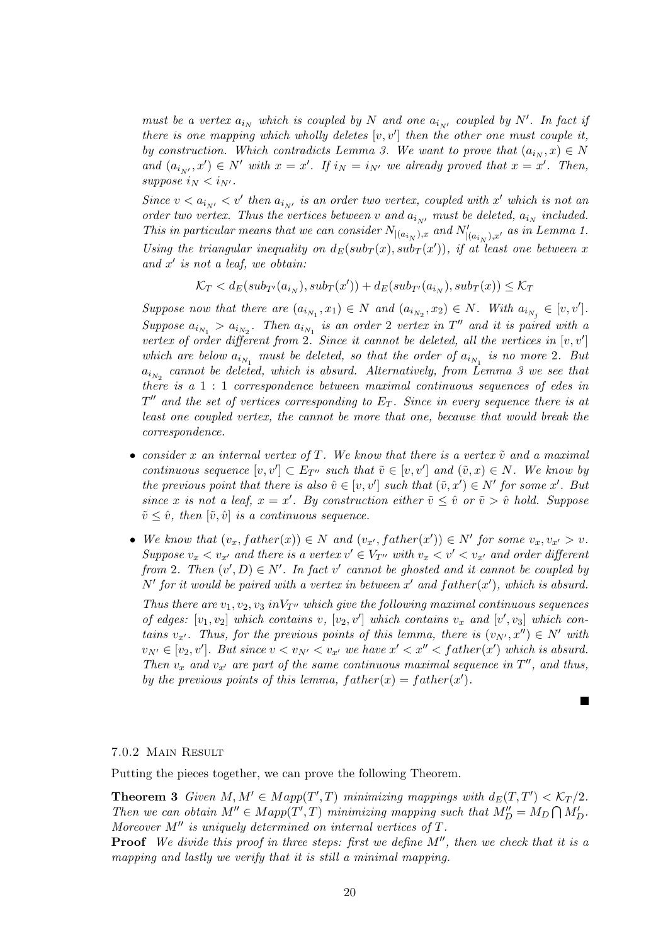must be a vertex  $a_{i_N}$  which is coupled by N and one  $a_{i_{N'}}$  coupled by N'. In fact if there is one mapping which wholly deletes  $[v, v']$  then the other one must couple it, by construction. Which contradicts Lemma [3.](#page-17-0) We want to prove that  $(a_{i_N}, x) \in N$ and  $(a_{i_N}, x') \in N'$  with  $x = x'$ . If  $i_N = i_{N'}$  we already proved that  $x = x'$ . Then, suppose  $i_N < i_{N'}$ .

Since  $v < a_{i_{N'}} < v'$  then  $a_{i_{N'}}$  is an order two vertex, coupled with x' which is not an order two vertex. Thus the vertices between v and  $a_{i_N}$ , must be deleted,  $a_{i_N}$  included. This in particular means that we can consider  $N_{|(a_{i_N}),x}$  and  $N'_{|(a_{i_N}),x'}$  as in Lemma [1.](#page-15-0) Using the triangular inequality on  $d_E(sub_T(x), sub_T(x'))$ , if at least one between x and  $x'$  is not a leaf, we obtain:

 $\mathcal{K}_T < d_E(sub_{T'}(a_{i_N}), sub_T(x')) + d_E(sub_{T'}(a_{i_N}), sub_T(x)) \leq \mathcal{K}_T$ 

Suppose now that there are  $(a_{i_{N_1}}, x_1) \in N$  and  $(a_{i_{N_2}}, x_2) \in N$ . With  $a_{i_{N_j}} \in [v, v']$ . Suppose  $a_{i_{N_1}} > a_{i_{N_2}}$ . Then  $a_{i_{N_1}}$  is an order 2 vertex in T'' and it is paired with a vertex of order different from 2. Since it cannot be deleted, all the vertices in  $[v, v']$ which are below  $a_{i_{N_1}}$  must be deleted, so that the order of  $a_{i_{N_1}}$  is no more 2. But  $a_{i_{N_2}}$  cannot be deleted, which is absurd. Alternatively, from Lemma [3](#page-17-0) we see that there is a 1 : 1 correspondence between maximal continuous sequences of edes in  $T''$  and the set of vertices corresponding to  $E_T$ . Since in every sequence there is at least one coupled vertex, the cannot be more that one, because that would break the correspondence.

- consider x an internal vertex of T. We know that there is a vertex  $\tilde{v}$  and a maximal continuous sequence  $[v, v'] \subset E_{T''}$  such that  $\tilde{v} \in [v, v']$  and  $(\tilde{v}, x) \in N$ . We know by the previous point that there is also  $\hat{v} \in [v, v']$  such that  $(\tilde{v}, x') \in N'$  for some x'. But since x is not a leaf,  $x = x'$ . By construction either  $\tilde{v} \leq \hat{v}$  or  $\tilde{v} > \hat{v}$  hold. Suppose  $\tilde{v} \leq \hat{v}$ , then  $[\tilde{v}, \hat{v}]$  is a continuous sequence.
- We know that  $(v_x, father(x)) \in N$  and  $(v_{x'}, father(x')) \in N'$  for some  $v_x, v_{x'} > v$ . Suppose  $v_x < v_{x'}$  and there is a vertex  $v' \in V_{T''}$  with  $v_x < v' < v_{x'}$  and order different from 2. Then  $(v', D) \in N'$ . In fact v' cannot be ghosted and it cannot be coupled by N' for it would be paired with a vertex in between  $x'$  and  $father(x')$ , which is absurd.

Thus there are  $v_1, v_2, v_3$  in  $V_{T}$ <sup>o</sup> which give the following maximal continuous sequences of edges:  $[v_1, v_2]$  which contains v,  $[v_2, v']$  which contains  $v_x$  and  $[v', v_3]$  which contains  $v_{x'}$ . Thus, for the previous points of this lemma, there is  $(v_{N'}, x'') \in N'$  with  $v_{N'} \in [v_2, v']$ . But since  $v < v_{N'} < v_{x'}$  we have  $x' < x'' <$  father(x') which is absurd. Then  $v_x$  and  $v_{x'}$  are part of the same continuous maximal sequence in  $T''$ , and thus, by the previous points of this lemma,  $father(x) = father(x')$ .

 $\blacksquare$ 

# 7.0.2 Main Result

Putting the pieces together, we can prove the following Theorem.

<span id="page-19-0"></span>**Theorem 3** Given  $M, M' \in Map(T', T)$  minimizing mappings with  $d_E(T, T') < \mathcal{K}_T/2$ . Then we can obtain  $M'' \in Map(T', T)$  minimizing mapping such that  $M''_D = M_D \bigcap M'_D$ . Moreover  $M''$  is uniquely determined on internal vertices of  $T$ .

**Proof** We divide this proof in three steps: first we define  $M''$ , then we check that it is a mapping and lastly we verify that it is still a minimal mapping.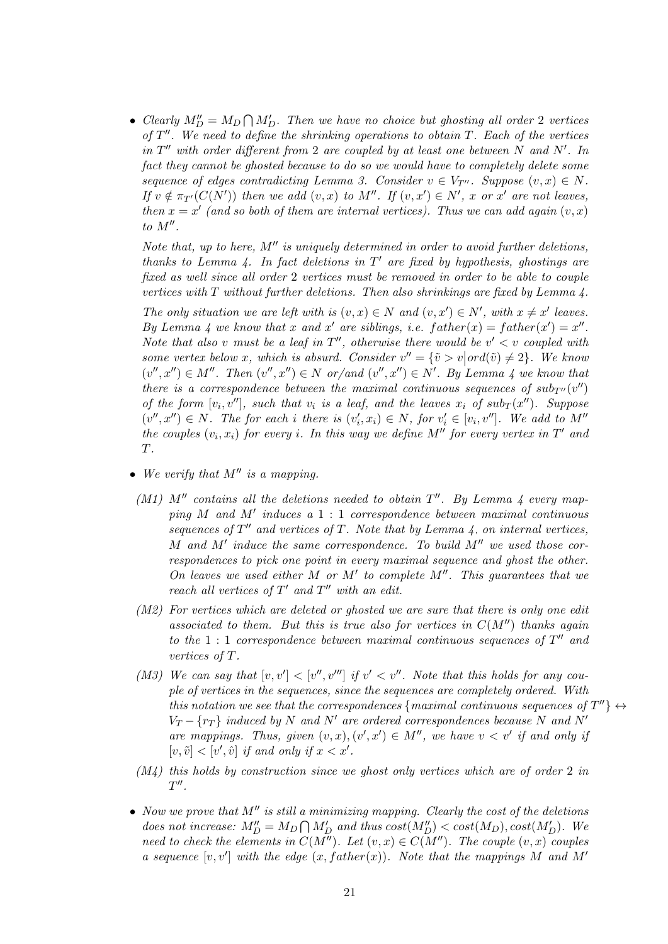• Clearly  $M''_D = M_D \bigcap M'_D$ . Then we have no choice but ghosting all order 2 vertices of  $T''$ . We need to define the shrinking operations to obtain  $T$ . Each of the vertices in  $T''$  with order different from 2 are coupled by at least one between N and N'. In fact they cannot be ghosted because to do so we would have to completely delete some sequence of edges contradicting Lemma [3.](#page-17-0) Consider  $v \in V_{T}$ . Suppose  $(v, x) \in N$ . If  $v \notin \pi_{T'}(C(N'))$  then we add  $(v, x)$  to M''. If  $(v, x') \in N'$ , x or x' are not leaves, then  $x = x'$  (and so both of them are internal vertices). Thus we can add again  $(v, x)$  $to M''$ .

Note that, up to here,  $M''$  is uniquely determined in order to avoid further deletions, thanks to Lemma [4.](#page-18-0) In fact deletions in  $T'$  are fixed by hypothesis, ghostings are fixed as well since all order 2 vertices must be removed in order to be able to couple vertices with  $T$  without further deletions. Then also shrinkings are fixed by Lemma  $\lambda$ .

The only situation we are left with is  $(v, x) \in N$  and  $(v, x') \in N'$ , with  $x \neq x'$  leaves. By Lemma [4](#page-18-0) we know that x and x' are siblings, i.e.  $father(x) = father(x') = x''$ . Note that also v must be a leaf in  $T''$ , otherwise there would be  $v' < v$  coupled with some vertex below x, which is absurd. Consider  $v'' = \{\tilde{v} > v | ord(\tilde{v}) \neq 2\}$ . We know  $(v'', x'') \in M''$ . Then  $(v'', x'') \in N$  or/and  $(v'', x'') \in N'$ . By Lemma [4](#page-18-0) we know that there is a correspondence between the maximal continuous sequences of  $sub_{T}w(v'')$ of the form  $[v_i, v'']$ , such that  $v_i$  is a leaf, and the leaves  $x_i$  of  $sub_T(x'')$ . Suppose  $(v'', x'') \in N$ . The for each i there is  $(v'_i, x_i) \in N$ , for  $v'_i \in [v_i, v'']$ . We add to M'' the couples  $(v_i, x_i)$  for every i. In this way we define M'' for every vertex in T' and T.

- We verify that  $M''$  is a mapping.
	- (M1)  $M''$  contains all the deletions needed to obtain  $T''$ . By Lemma [4](#page-18-0) every mapping  $M$  and  $M'$  induces a  $1:1$  correspondence between maximal continuous sequences of  $T''$  and vertices of T. Note that by Lemma [4,](#page-18-0) on internal vertices, M and  $M'$  induce the same correspondence. To build  $M''$  we used those correspondences to pick one point in every maximal sequence and ghost the other. On leaves we used either M or M' to complete  $M''$ . This guarantees that we reach all vertices of  $T'$  and  $T''$  with an edit.
- (M2) For vertices which are deleted or ghosted we are sure that there is only one edit associated to them. But this is true also for vertices in  $C(M'')$  thanks again to the  $1:1$  correspondence between maximal continuous sequences of  $T''$  and vertices of T.
- (M3) We can say that  $[v, v'] < [v'', v''']$  if  $v' < v''$ . Note that this holds for any couple of vertices in the sequences, since the sequences are completely ordered. With this notation we see that the correspondences {maximal continuous sequences of  $T''$ }  $\leftrightarrow$  $V_T - \{r_T\}$  induced by N and N' are ordered correspondences because N and N' are mappings. Thus, given  $(v, x), (v', x') \in M''$ , we have  $v < v'$  if and only if  $[v, \tilde{v}] < [v', \hat{v}]$  if and only if  $x < x'$ .
- $(M<sub>4</sub>)$  this holds by construction since we ghost only vertices which are of order 2 in  $T''$ .
- Now we prove that  $M''$  is still a minimizing mapping. Clearly the cost of the deletions does not increase:  $M''_D = M_D \bigcap M'_D$  and thus  $cost(M''_D) < cost(M_D), cost(M'_D)$ . We need to check the elements in  $C(M'')$ . Let  $(v, x) \in C(M'')$ . The couple  $(v, x)$  couples a sequence  $[v, v']$  with the edge  $(x, father(x))$ . Note that the mappings M and M'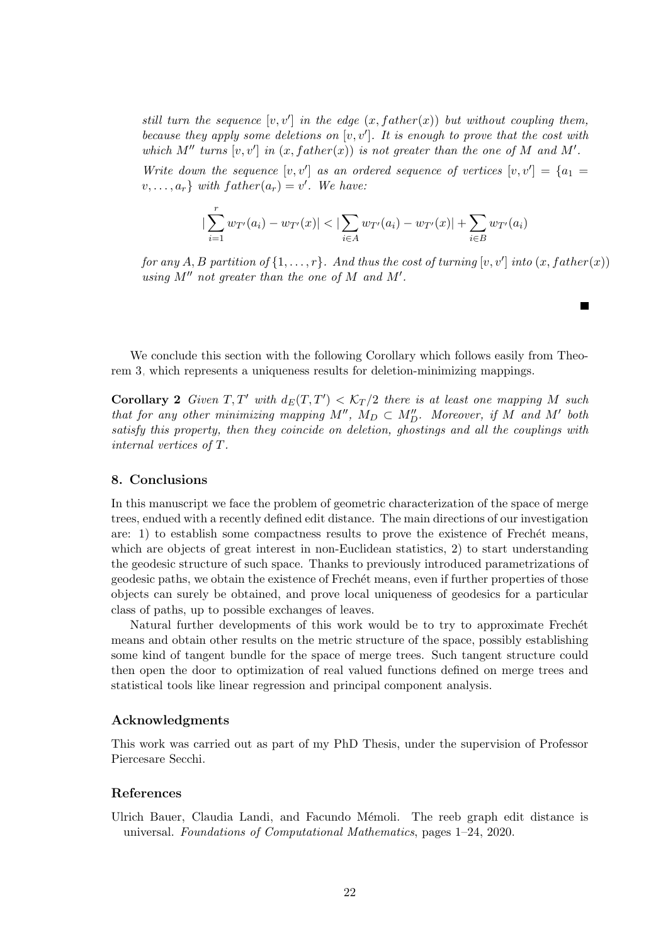still turn the sequence  $[v, v']$  in the edge  $(x, father(x))$  but without coupling them, because they apply some deletions on  $[v, v']$ . It is enough to prove that the cost with which M<sup>n</sup> turns  $[v, v']$  in  $(x, father(x))$  is not greater than the one of M and M'.

Write down the sequence  $[v, v']$  as an ordered sequence of vertices  $[v, v'] = \{a_1 =$  $v, \ldots, a_r\}$  with  $father(a_r) = v'$ . We have:

$$
|\sum_{i=1}^r w_{T'}(a_i) - w_{T'}(x)| < |\sum_{i \in A} w_{T'}(a_i) - w_{T'}(x)| + \sum_{i \in B} w_{T'}(a_i)|
$$

for any A, B partition of  $\{1,\ldots,r\}$ . And thus the cost of turning  $[v, v']$  into  $(x, father(x))$ using  $M''$  not greater than the one of  $M$  and  $M'$ .

 $\blacksquare$ 

We conclude this section with the following Corollary which follows easily from Theorem [3,](#page-19-0) which represents a uniqueness results for deletion-minimizing mappings.

**Corollary 2** Given  $T, T'$  with  $d_E(T, T') < \mathcal{K}_T/2$  there is at least one mapping M such that for any other minimizing mapping  $M''$ ,  $M_D \subset M''_D$ . Moreover, if M and M' both satisfy this property, then they coincide on deletion, ghostings and all the couplings with internal vertices of T.

# 8. Conclusions

In this manuscript we face the problem of geometric characterization of the space of merge trees, endued with a recently defined edit distance. The main directions of our investigation are:  $1$ ) to establish some compactness results to prove the existence of Frechét means, which are objects of great interest in non-Euclidean statistics, 2) to start understanding the geodesic structure of such space. Thanks to previously introduced parametrizations of geodesic paths, we obtain the existence of Frechét means, even if further properties of those objects can surely be obtained, and prove local uniqueness of geodesics for a particular class of paths, up to possible exchanges of leaves.

Natural further developments of this work would be to try to approximate Frechet means and obtain other results on the metric structure of the space, possibly establishing some kind of tangent bundle for the space of merge trees. Such tangent structure could then open the door to optimization of real valued functions defined on merge trees and statistical tools like linear regression and principal component analysis.

# Acknowledgments

This work was carried out as part of my PhD Thesis, under the supervision of Professor Piercesare Secchi.

# References

<span id="page-21-0"></span>Ulrich Bauer, Claudia Landi, and Facundo Mémoli. The reeb graph edit distance is universal. Foundations of Computational Mathematics, pages 1–24, 2020.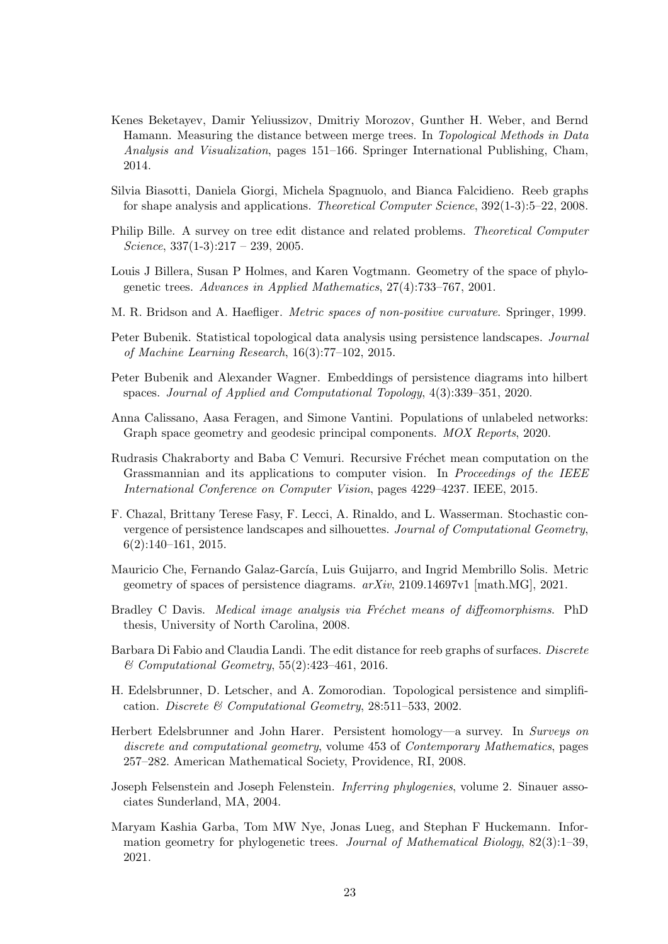- <span id="page-22-6"></span>Kenes Beketayev, Damir Yeliussizov, Dmitriy Morozov, Gunther H. Weber, and Bernd Hamann. Measuring the distance between merge trees. In Topological Methods in Data Analysis and Visualization, pages 151–166. Springer International Publishing, Cham, 2014.
- <span id="page-22-4"></span>Silvia Biasotti, Daniela Giorgi, Michela Spagnuolo, and Bianca Falcidieno. Reeb graphs for shape analysis and applications. Theoretical Computer Science, 392(1-3):5–22, 2008.
- <span id="page-22-14"></span>Philip Bille. A survey on tree edit distance and related problems. Theoretical Computer Science,  $337(1-3):217 - 239$ , 2005.
- <span id="page-22-12"></span>Louis J Billera, Susan P Holmes, and Karen Vogtmann. Geometry of the space of phylogenetic trees. Advances in Applied Mathematics, 27(4):733–767, 2001.
- <span id="page-22-15"></span>M. R. Bridson and A. Haefliger. Metric spaces of non-positive curvature. Springer, 1999.
- <span id="page-22-3"></span>Peter Bubenik. Statistical topological data analysis using persistence landscapes. Journal of Machine Learning Research, 16(3):77–102, 2015.
- <span id="page-22-10"></span>Peter Bubenik and Alexander Wagner. Embeddings of persistence diagrams into hilbert spaces. Journal of Applied and Computational Topology, 4(3):339–351, 2020.
- <span id="page-22-8"></span>Anna Calissano, Aasa Feragen, and Simone Vantini. Populations of unlabeled networks: Graph space geometry and geodesic principal components. MOX Reports, 2020.
- <span id="page-22-16"></span>Rudrasis Chakraborty and Baba C Vemuri. Recursive Fréchet mean computation on the Grassmannian and its applications to computer vision. In *Proceedings of the IEEE* International Conference on Computer Vision, pages 4229–4237. IEEE, 2015.
- <span id="page-22-2"></span>F. Chazal, Brittany Terese Fasy, F. Lecci, A. Rinaldo, and L. Wasserman. Stochastic convergence of persistence landscapes and silhouettes. Journal of Computational Geometry, 6(2):140–161, 2015.
- <span id="page-22-11"></span>Mauricio Che, Fernando Galaz-García, Luis Guijarro, and Ingrid Membrillo Solis. Metric geometry of spaces of persistence diagrams.  $arXiv$ , 2109.14697 $v1$  [math.MG], 2021.
- <span id="page-22-13"></span>Bradley C Davis. Medical image analysis via Fréchet means of diffeomorphisms. PhD thesis, University of North Carolina, 2008.
- <span id="page-22-7"></span>Barbara Di Fabio and Claudia Landi. The edit distance for reeb graphs of surfaces. Discrete & Computational Geometry, 55(2):423–461, 2016.
- <span id="page-22-1"></span>H. Edelsbrunner, D. Letscher, and A. Zomorodian. Topological persistence and simplification. Discrete & Computational Geometry, 28:511–533, 2002.
- <span id="page-22-0"></span>Herbert Edelsbrunner and John Harer. Persistent homology—a survey. In Surveys on discrete and computational geometry, volume 453 of Contemporary Mathematics, pages 257–282. American Mathematical Society, Providence, RI, 2008.
- <span id="page-22-5"></span>Joseph Felsenstein and Joseph Felenstein. Inferring phylogenies, volume 2. Sinauer associates Sunderland, MA, 2004.
- <span id="page-22-9"></span>Maryam Kashia Garba, Tom MW Nye, Jonas Lueg, and Stephan F Huckemann. Information geometry for phylogenetic trees. Journal of Mathematical Biology, 82(3):1–39, 2021.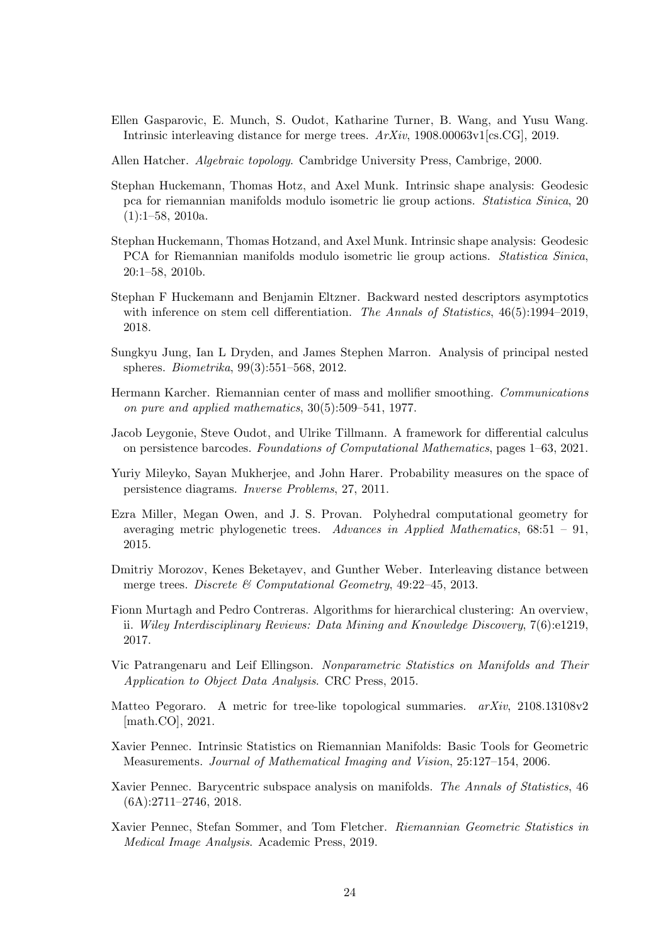- <span id="page-23-3"></span>Ellen Gasparovic, E. Munch, S. Oudot, Katharine Turner, B. Wang, and Yusu Wang. Intrinsic interleaving distance for merge trees. ArXiv, 1908.00063v1[cs.CG], 2019.
- <span id="page-23-0"></span>Allen Hatcher. Algebraic topology. Cambridge University Press, Cambrige, 2000.
- <span id="page-23-8"></span>Stephan Huckemann, Thomas Hotz, and Axel Munk. Intrinsic shape analysis: Geodesic pca for riemannian manifolds modulo isometric lie group actions. Statistica Sinica, 20  $(1):1-58, 2010a.$
- Stephan Huckemann, Thomas Hotzand, and Axel Munk. Intrinsic shape analysis: Geodesic PCA for Riemannian manifolds modulo isometric lie group actions. Statistica Sinica, 20:1–58, 2010b.
- <span id="page-23-7"></span>Stephan F Huckemann and Benjamin Eltzner. Backward nested descriptors asymptotics with inference on stem cell differentiation. The Annals of Statistics,  $46(5):1994-2019$ , 2018.
- <span id="page-23-9"></span>Sungkyu Jung, Ian L Dryden, and James Stephen Marron. Analysis of principal nested spheres. Biometrika, 99(3):551–568, 2012.
- <span id="page-23-15"></span>Hermann Karcher. Riemannian center of mass and mollifier smoothing. Communications on pure and applied mathematics, 30(5):509–541, 1977.
- <span id="page-23-12"></span>Jacob Leygonie, Steve Oudot, and Ulrike Tillmann. A framework for differential calculus on persistence barcodes. Foundations of Computational Mathematics, pages 1–63, 2021.
- <span id="page-23-11"></span>Yuriy Mileyko, Sayan Mukherjee, and John Harer. Probability measures on the space of persistence diagrams. Inverse Problems, 27, 2011.
- <span id="page-23-13"></span>Ezra Miller, Megan Owen, and J. S. Provan. Polyhedral computational geometry for averaging metric phylogenetic trees. Advances in Applied Mathematics, 68:51 – 91, 2015.
- <span id="page-23-2"></span>Dmitriy Morozov, Kenes Beketayev, and Gunther Weber. Interleaving distance between merge trees. Discrete  $\mathcal C$  Computational Geometry, 49:22–45, 2013.
- <span id="page-23-1"></span>Fionn Murtagh and Pedro Contreras. Algorithms for hierarchical clustering: An overview, ii. Wiley Interdisciplinary Reviews: Data Mining and Knowledge Discovery, 7(6):e1219, 2017.
- <span id="page-23-10"></span>Vic Patrangenaru and Leif Ellingson. Nonparametric Statistics on Manifolds and Their Application to Object Data Analysis. CRC Press, 2015.
- <span id="page-23-14"></span>Matteo Pegoraro. A metric for tree-like topological summaries.  $arXiv$ , 2108.13108v2 [math.CO], 2021.
- <span id="page-23-4"></span>Xavier Pennec. Intrinsic Statistics on Riemannian Manifolds: Basic Tools for Geometric Measurements. Journal of Mathematical Imaging and Vision, 25:127–154, 2006.
- <span id="page-23-6"></span>Xavier Pennec. Barycentric subspace analysis on manifolds. The Annals of Statistics, 46  $(6A):2711-2746, 2018.$
- <span id="page-23-5"></span>Xavier Pennec, Stefan Sommer, and Tom Fletcher. Riemannian Geometric Statistics in Medical Image Analysis. Academic Press, 2019.